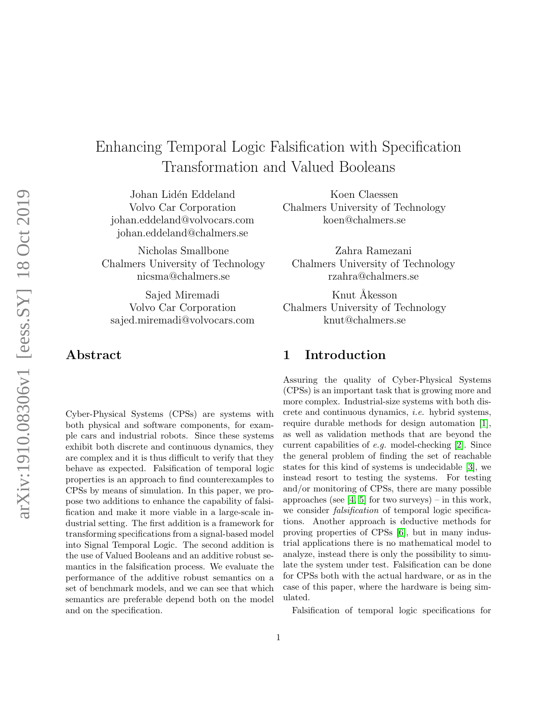# arXiv:1910.08306v1 [eess.SY] 18 Oct 2019 arXiv:1910.08306v1 [eess.SY] 18 Oct 2019

# Enhancing Temporal Logic Falsification with Specification Transformation and Valued Booleans

Johan Lidén Eddeland Volvo Car Corporation johan.eddeland@volvocars.com johan.eddeland@chalmers.se

Nicholas Smallbone Chalmers University of Technology nicsma@chalmers.se

Sajed Miremadi Volvo Car Corporation sajed.miremadi@volvocars.com

Abstract

Cyber-Physical Systems (CPSs) are systems with both physical and software components, for example cars and industrial robots. Since these systems exhibit both discrete and continuous dynamics, they are complex and it is thus difficult to verify that they behave as expected. Falsification of temporal logic properties is an approach to find counterexamples to CPSs by means of simulation. In this paper, we propose two additions to enhance the capability of falsification and make it more viable in a large-scale industrial setting. The first addition is a framework for transforming specifications from a signal-based model into Signal Temporal Logic. The second addition is the use of Valued Booleans and an additive robust semantics in the falsification process. We evaluate the performance of the additive robust semantics on a set of benchmark models, and we can see that which semantics are preferable depend both on the model and on the specification.

Koen Claessen Chalmers University of Technology koen@chalmers.se

Zahra Ramezani Chalmers University of Technology rzahra@chalmers.se

Knut Åkesson Chalmers University of Technology knut@chalmers.se

# 1 Introduction

Assuring the quality of Cyber-Physical Systems (CPSs) is an important task that is growing more and more complex. Industrial-size systems with both discrete and continuous dynamics, i.e. hybrid systems, require durable methods for design automation [\[1\]](#page-17-0), as well as validation methods that are beyond the current capabilities of e.g. model-checking [\[2\]](#page-17-1). Since the general problem of finding the set of reachable states for this kind of systems is undecidable [\[3\]](#page-18-0), we instead resort to testing the systems. For testing and/or monitoring of CPSs, there are many possible approaches (see  $[4, 5]$  $[4, 5]$  for two surveys) – in this work, we consider *falsification* of temporal logic specifications. Another approach is deductive methods for proving properties of CPSs [\[6\]](#page-18-3), but in many industrial applications there is no mathematical model to analyze, instead there is only the possibility to simulate the system under test. Falsification can be done for CPSs both with the actual hardware, or as in the case of this paper, where the hardware is being simulated.

Falsification of temporal logic specifications for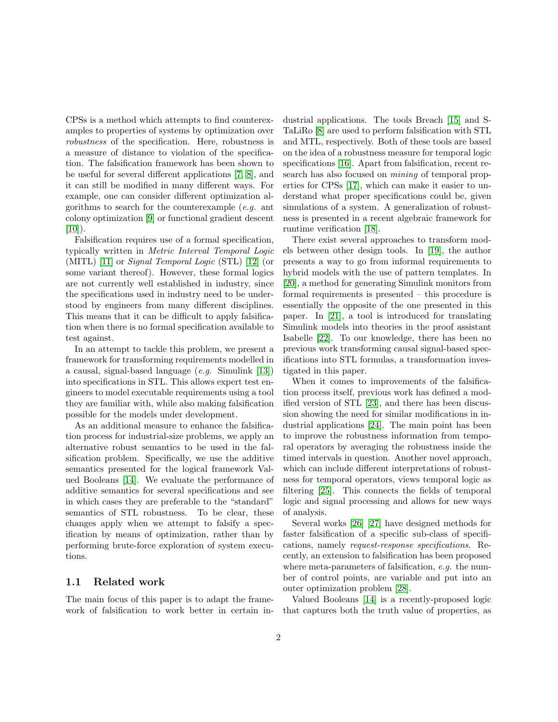CPSs is a method which attempts to find counterexamples to properties of systems by optimization over robustness of the specification. Here, robustness is a measure of distance to violation of the specification. The falsification framework has been shown to be useful for several different applications [\[7,](#page-18-4) [8\]](#page-18-5), and it can still be modified in many different ways. For example, one can consider different optimization algorithms to search for the counterexample  $(e,q.$  ant colony optimization [\[9\]](#page-18-6) or functional gradient descent  $[10]$ ).

Falsification requires use of a formal specification, typically written in Metric Interval Temporal Logic (MITL) [\[11\]](#page-18-8) or Signal Temporal Logic (STL) [\[12\]](#page-18-9) (or some variant thereof). However, these formal logics are not currently well established in industry, since the specifications used in industry need to be understood by engineers from many different disciplines. This means that it can be difficult to apply falsification when there is no formal specification available to test against.

In an attempt to tackle this problem, we present a framework for transforming requirements modelled in a causal, signal-based language  $(e.g.$  Simulink  $[13]$ ) into specifications in STL. This allows expert test engineers to model executable requirements using a tool they are familiar with, while also making falsification possible for the models under development.

As an additional measure to enhance the falsification process for industrial-size problems, we apply an alternative robust semantics to be used in the falsification problem. Specifically, we use the additive semantics presented for the logical framework Valued Booleans [\[14\]](#page-18-11). We evaluate the performance of additive semantics for several specifications and see in which cases they are preferable to the "standard" semantics of STL robustness. To be clear, these changes apply when we attempt to falsify a specification by means of optimization, rather than by performing brute-force exploration of system executions.

### 1.1 Related work

The main focus of this paper is to adapt the framework of falsification to work better in certain industrial applications. The tools Breach [\[15\]](#page-18-12) and S-TaLiRo [\[8\]](#page-18-5) are used to perform falsification with STL and MTL, respectively. Both of these tools are based on the idea of a robustness measure for temporal logic specifications [\[16\]](#page-18-13). Apart from falsification, recent research has also focused on mining of temporal properties for CPSs [\[17\]](#page-18-14), which can make it easier to understand what proper specifications could be, given simulations of a system. A generalization of robustness is presented in a recent algebraic framework for runtime verification [\[18\]](#page-18-15).

There exist several approaches to transform models between other design tools. In [\[19\]](#page-18-16), the author presents a way to go from informal requirements to hybrid models with the use of pattern templates. In [\[20\]](#page-19-0), a method for generating Simulink monitors from formal requirements is presented – this procedure is essentially the opposite of the one presented in this paper. In [\[21\]](#page-19-1), a tool is introduced for translating Simulink models into theories in the proof assistant Isabelle [\[22\]](#page-19-2). To our knowledge, there has been no previous work transforming causal signal-based specifications into STL formulas, a transformation investigated in this paper.

When it comes to improvements of the falsification process itself, previous work has defined a modified version of STL [\[23\]](#page-19-3), and there has been discussion showing the need for similar modifications in industrial applications [\[24\]](#page-19-4). The main point has been to improve the robustness information from temporal operators by averaging the robustness inside the timed intervals in question. Another novel approach, which can include different interpretations of robustness for temporal operators, views temporal logic as filtering [\[25\]](#page-19-5). This connects the fields of temporal logic and signal processing and allows for new ways of analysis.

Several works [\[26\]](#page-19-6) [\[27\]](#page-19-7) have designed methods for faster falsification of a specific sub-class of specifications, namely request-response specifications. Recently, an extension to falsification has been proposed where meta-parameters of falsification, e.g. the number of control points, are variable and put into an outer optimization problem [\[28\]](#page-19-8).

Valued Booleans [\[14\]](#page-18-11) is a recently-proposed logic that captures both the truth value of properties, as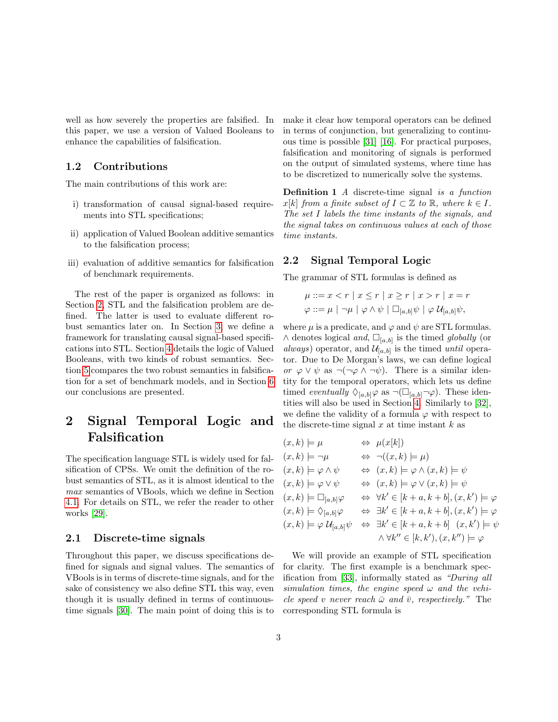well as how severely the properties are falsified. In this paper, we use a version of Valued Booleans to enhance the capabilities of falsification.

### 1.2 Contributions

The main contributions of this work are:

- i) transformation of causal signal-based requirements into STL specifications;
- ii) application of Valued Boolean additive semantics to the falsification process;
- iii) evaluation of additive semantics for falsification of benchmark requirements.

The rest of the paper is organized as follows: in Section [2,](#page-2-0) STL and the falsification problem are defined. The latter is used to evaluate different robust semantics later on. In Section [3,](#page-3-0) we define a framework for translating causal signal-based specifications into STL. Section [4](#page-8-0) details the logic of Valued Booleans, with two kinds of robust semantics. Section [5](#page-13-0) compares the two robust semantics in falsification for a set of benchmark models, and in Section [6](#page-16-0) our conclusions are presented.

# <span id="page-2-0"></span>2 Signal Temporal Logic and Falsification

The specification language STL is widely used for falsification of CPSs. We omit the definition of the robust semantics of STL, as it is almost identical to the max semantics of VBools, which we define in Section [4.1.](#page-9-0) For details on STL, we refer the reader to other works [\[29\]](#page-19-9).

### 2.1 Discrete-time signals

Throughout this paper, we discuss specifications defined for signals and signal values. The semantics of VBools is in terms of discrete-time signals, and for the sake of consistency we also define STL this way, even though it is usually defined in terms of continuoustime signals [\[30\]](#page-19-10). The main point of doing this is to

make it clear how temporal operators can be defined in terms of conjunction, but generalizing to continuous time is possible [\[31\]](#page-19-11) [\[16\]](#page-18-13). For practical purposes, falsification and monitoring of signals is performed on the output of simulated systems, where time has to be discretized to numerically solve the systems.

Definition 1 A discrete-time signal is a function  $x[k]$  from a finite subset of  $I \subset \mathbb{Z}$  to  $\mathbb{R}$ , where  $k \in I$ . The set I labels the time instants of the signals, and the signal takes on continuous values at each of those time instants.

### 2.2 Signal Temporal Logic

The grammar of STL formulas is defined as

$$
\mu ::= x < r \mid x \le r \mid x \ge r \mid x > r \mid x = r
$$
\n
$$
\varphi ::= \mu \mid \neg \mu \mid \varphi \land \psi \mid \Box_{[a,b]} \psi \mid \varphi \mathcal{U}_{[a,b]} \psi,
$$

where  $\mu$  is a predicate, and  $\varphi$  and  $\psi$  are STL formulas.  $\wedge$  denotes logical and,  $\square_{[a,b]}$  is the timed globally (or always) operator, and  $\mathcal{U}_{[a,b]}$  is the timed until operator. Due to De Morgan's laws, we can define logical or  $\varphi \lor \psi$  as  $\neg(\neg \varphi \land \neg \psi)$ . There is a similar identity for the temporal operators, which lets us define timed eventually  $\Diamond_{[a,b]} \varphi$  as  $\neg \Box_{[a,b]} \neg \varphi$ . These identities will also be used in Section [4.](#page-8-0) Similarly to [\[32\]](#page-19-12), we define the validity of a formula  $\varphi$  with respect to the discrete-time signal  $x$  at time instant  $k$  as

$$
(x,k) \models \mu \iff \mu(x[k])
$$
  
\n
$$
(x,k) \models \neg \mu \iff \neg((x,k) \models \mu)
$$
  
\n
$$
(x,k) \models \varphi \land \psi \iff (x,k) \models \varphi \land (x,k) \models \psi
$$
  
\n
$$
(x,k) \models \varphi \lor \psi \iff (x,k) \models \varphi \lor (x,k) \models \psi
$$
  
\n
$$
(x,k) \models \Box_{[a,b]} \varphi \iff \forall k' \in [k+a, k+b], (x,k') \models \varphi
$$
  
\n
$$
(x,k) \models \Diamond_{[a,b]} \varphi \iff \exists k' \in [k+a, k+b], (x,k') \models \varphi
$$
  
\n
$$
(x,k) \models \varphi \mathcal{U}_{[a,b]} \psi \iff \exists k' \in [k+a, k+b] \quad (x,k') \models \psi
$$
  
\n
$$
\land \forall k'' \in [k, k'), (x, k'') \models \varphi
$$

We will provide an example of STL specification for clarity. The first example is a benchmark specification from [\[33\]](#page-19-13), informally stated as "During all simulation times, the engine speed  $\omega$  and the vehicle speed v never reach  $\bar{\omega}$  and  $\bar{v}$ , respectively." The corresponding STL formula is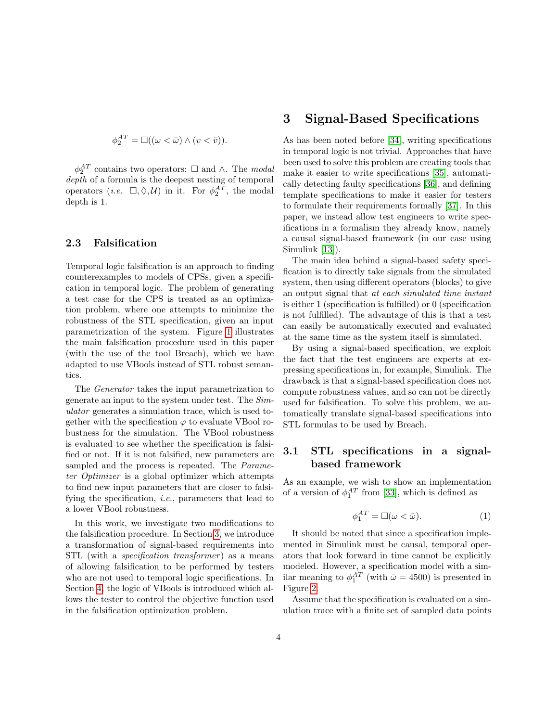$$
\phi_2^{AT} = \Box((\omega < \bar{\omega}) \land (v < \bar{v})).
$$

 $\phi_2^{AT}$  contains two operators:  $\Box$  and  $\land$ . The modal depth of a formula is the deepest nesting of temporal operators (*i.e.*  $\Box, \Diamond, \mathcal{U}$ ) in it. For  $\phi_2^{AT}$ , the modal depth is 1.

### 2.3 Falsification

Temporal logic falsification is an approach to finding counterexamples to models of CPSs, given a specification in temporal logic. The problem of generating a test case for the CPS is treated as an optimization problem, where one attempts to minimize the robustness of the STL specification, given an input parametrization of the system. Figure [1](#page-4-0) illustrates the main falsification procedure used in this paper (with the use of the tool Breach), which we have adapted to use VBools instead of STL robust semantics.

The Generator takes the input parametrization to generate an input to the system under test. The Simulator generates a simulation trace, which is used together with the specification  $\varphi$  to evaluate VBool robustness for the simulation. The VBool robustness is evaluated to see whether the specification is falsified or not. If it is not falsified, new parameters are sampled and the process is repeated. The *Parame*ter Optimizer is a global optimizer which attempts to find new input parameters that are closer to falsifying the specification, i.e., parameters that lead to a lower VBool robustness.

In this work, we investigate two modifications to the falsification procedure. In Section [3,](#page-3-0) we introduce a transformation of signal-based requirements into STL (with a *specification transformer*) as a means of allowing falsification to be performed by testers who are not used to temporal logic specifications. In Section [4,](#page-8-0) the logic of VBools is introduced which allows the tester to control the objective function used in the falsification optimization problem.

# <span id="page-3-0"></span>3 Signal-Based Specifications

As has been noted before [\[34\]](#page-19-14), writing specifications in temporal logic is not trivial. Approaches that have been used to solve this problem are creating tools that make it easier to write specifications [\[35\]](#page-19-15), automatically detecting faulty specifications [\[36\]](#page-20-0), and defining template specifications to make it easier for testers to formulate their requirements formally [\[37\]](#page-20-1). In this paper, we instead allow test engineers to write specifications in a formalism they already know, namely a causal signal-based framework (in our case using Simulink [\[13\]](#page-18-10)).

The main idea behind a signal-based safety specification is to directly take signals from the simulated system, then using different operators (blocks) to give an output signal that at each simulated time instant is either 1 (specification is fulfilled) or 0 (specification is not fulfilled). The advantage of this is that a test can easily be automatically executed and evaluated at the same time as the system itself is simulated.

By using a signal-based specification, we exploit the fact that the test engineers are experts at expressing specifications in, for example, Simulink. The drawback is that a signal-based specification does not compute robustness values, and so can not be directly used for falsification. To solve this problem, we automatically translate signal-based specifications into STL formulas to be used by Breach.

# 3.1 STL specifications in a signalbased framework

As an example, we wish to show an implementation of a version of  $\phi_1^{AT}$  from [\[33\]](#page-19-13), which is defined as

$$
\phi_1^{AT} = \Box(\omega < \bar{\omega}).\tag{1}
$$

It should be noted that since a specification implemented in Simulink must be causal, temporal operators that look forward in time cannot be explicitly modeled. However, a specification model with a similar meaning to  $\phi_1^{AT}$  (with  $\bar{\omega} = 4500$ ) is presented in Figure [2.](#page-4-1)

Assume that the specification is evaluated on a simulation trace with a finite set of sampled data points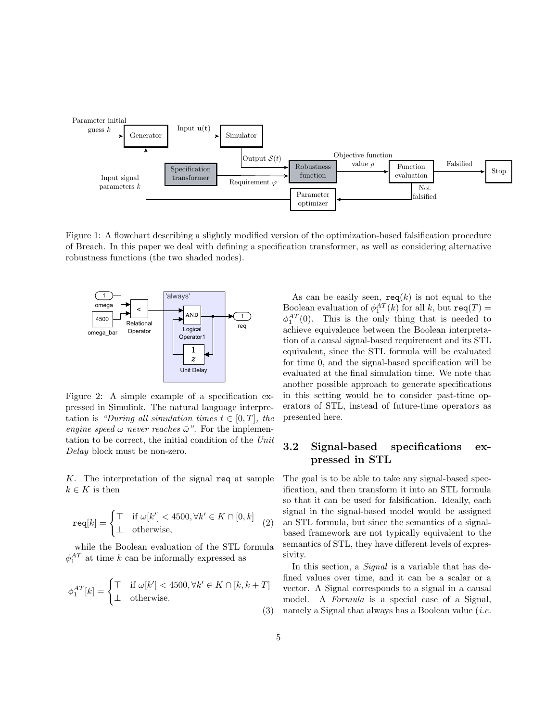<span id="page-4-0"></span>

Figure 1: A flowchart describing a slightly modified version of the optimization-based falsification procedure of Breach. In this paper we deal with defining a specification transformer, as well as considering alternative robustness functions (the two shaded nodes).

<span id="page-4-1"></span>

Figure 2: A simple example of a specification expressed in Simulink. The natural language interpretation is "During all simulation times  $t \in [0, T]$ , the engine speed  $\omega$  never reaches  $\bar{\omega}$ ". For the implementation to be correct, the initial condition of the Unit Delay block must be non-zero.

K. The interpretation of the signal req at sample  $k \in K$  is then

$$
\mathtt{req}[k] = \begin{cases} \top & \text{if } \omega[k'] < 4500, \forall k' \in K \cap [0, k] \\ \bot & \text{otherwise,} \end{cases} \tag{2}
$$

while the Boolean evaluation of the STL formula  $\phi_1^{AT}$  at time k can be informally expressed as

$$
\phi_1^{AT}[k] = \begin{cases} \top & \text{if } \omega[k'] < 4500, \forall k' \in K \cap [k, k+T] \\ \bot & \text{otherwise.} \end{cases}
$$

As can be easily seen,  $\text{req}(k)$  is not equal to the Boolean evaluation of  $\phi_1^{AT}(k)$  for all k, but  $\texttt{req}(T) =$  $\phi_1^{AT}(0)$ . This is the only thing that is needed to achieve equivalence between the Boolean interpretation of a causal signal-based requirement and its STL equivalent, since the STL formula will be evaluated for time 0, and the signal-based specification will be evaluated at the final simulation time. We note that another possible approach to generate specifications in this setting would be to consider past-time operators of STL, instead of future-time operators as presented here.

# 3.2 Signal-based specifications expressed in STL

The goal is to be able to take any signal-based specification, and then transform it into an STL formula so that it can be used for falsification. Ideally, each signal in the signal-based model would be assigned an STL formula, but since the semantics of a signalbased framework are not typically equivalent to the semantics of STL, they have different levels of expressivity.

(3) namely a Signal that always has a Boolean value (*i.e.* In this section, a *Signal* is a variable that has defined values over time, and it can be a scalar or a vector. A Signal corresponds to a signal in a causal model. A Formula is a special case of a Signal,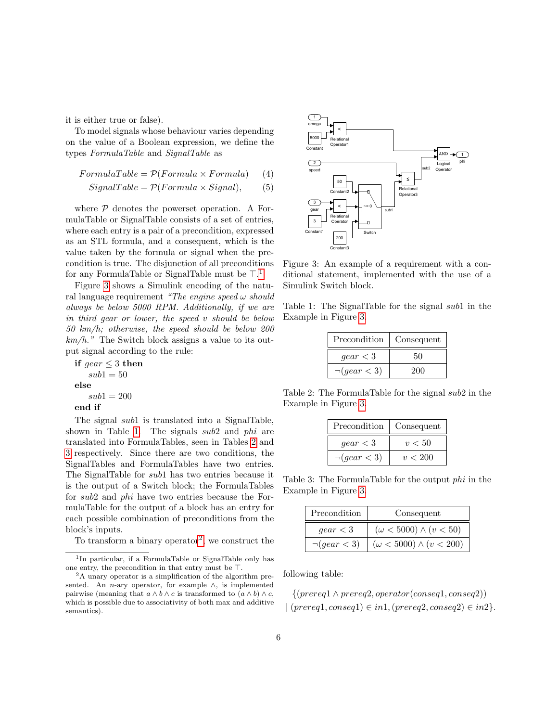it is either true or false).

To model signals whose behaviour varies depending on the value of a Boolean expression, we define the types FormulaTable and SignalTable as

$$
FormulaTable = P(Formula \times Formula) \qquad (4)
$$

$$
SignalTable = \mathcal{P}(Formula \times Signal), \qquad (5)
$$

where  $P$  denotes the powerset operation. A FormulaTable or SignalTable consists of a set of entries, where each entry is a pair of a precondition, expressed as an STL formula, and a consequent, which is the value taken by the formula or signal when the precondition is true. The disjunction of all preconditions for any FormulaTable or SignalTable must be  $\top$ .<sup>[1](#page-5-0)</sup>

Figure [3](#page-5-1) shows a Simulink encoding of the natural language requirement "The engine speed  $\omega$  should always be below 5000 RPM. Additionally, if we are in third gear or lower, the speed v should be below 50 km/h; otherwise, the speed should be below 200  $km/h$ ." The Switch block assigns a value to its output signal according to the rule:

```
if qear \leq 3 then
sub1 = 50else
sub1 = 200end if
```
The signal *sub*1 is translated into a SignalTable, shown in Table [1.](#page-5-2) The signals sub2 and phi are translated into FormulaTables, seen in Tables [2](#page-5-3) and [3](#page-5-4) respectively. Since there are two conditions, the SignalTables and FormulaTables have two entries. The SignalTable for sub1 has two entries because it is the output of a Switch block; the FormulaTables for sub2 and phi have two entries because the FormulaTable for the output of a block has an entry for each possible combination of preconditions from the block's inputs.

To transform a binary operator<sup>[2](#page-5-5)</sup>, we construct the

<span id="page-5-1"></span>

Figure 3: An example of a requirement with a conditional statement, implemented with the use of a Simulink Switch block.

<span id="page-5-2"></span>Table 1: The SignalTable for the signal sub1 in the Example in Figure [3.](#page-5-1)

| Precondition      | Consequent |  |  |  |  |
|-------------------|------------|--|--|--|--|
| qear < 3          | 50         |  |  |  |  |
| $\neg (gear < 3)$ | 200        |  |  |  |  |

<span id="page-5-3"></span>Table 2: The FormulaTable for the signal sub2 in the Example in Figure [3.](#page-5-1)

| Precondition      | Consequent |  |  |  |  |
|-------------------|------------|--|--|--|--|
| qear < 3          | v < 50     |  |  |  |  |
| $\neg (gear < 3)$ | v < 200    |  |  |  |  |

<span id="page-5-4"></span>Table 3: The FormulaTable for the output phi in the Example in Figure [3.](#page-5-1)

| Precondition      | Consequent                         |
|-------------------|------------------------------------|
| qear < 3          | $(\omega < 5000) \wedge (v < 50)$  |
| $\neg (qear < 3)$ | $(\omega < 5000) \wedge (v < 200)$ |

following table:

 $\{(prereq1 \land prereq2, operator(conseq1,conseq2))\}$  $| (prereq1,conseq1) \in in1, (prereq2,conseq2) \in in2 \}$ .

<span id="page-5-0"></span><sup>1</sup> In particular, if a FormulaTable or SignalTable only has one entry, the precondition in that entry must be  $\top$ .

<span id="page-5-5"></span><sup>2</sup>A unary operator is a simplification of the algorithm presented. An *n*-ary operator, for example  $\wedge$ , is implemented pairwise (meaning that  $a \wedge b \wedge c$  is transformed to  $(a \wedge b) \wedge c$ , which is possible due to associativity of both max and additive semantics).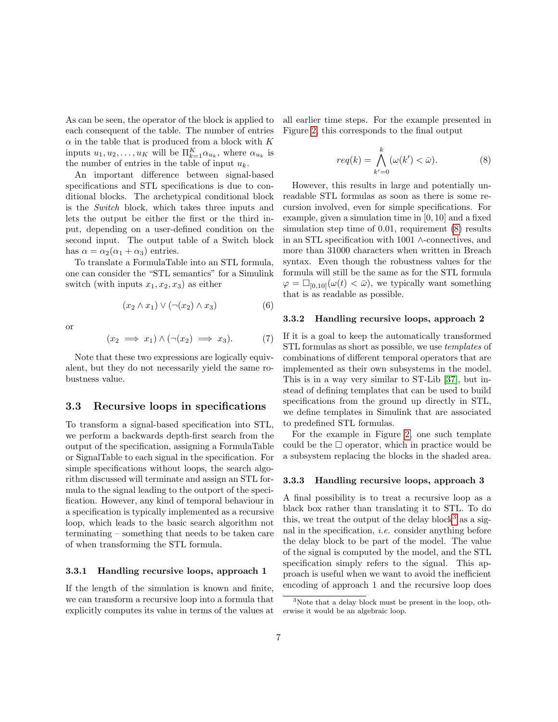As can be seen, the operator of the block is applied to each consequent of the table. The number of entries  $\alpha$  in the table that is produced from a block with K inputs  $u_1, u_2, \ldots, u_K$  will be  $\Pi_{k=1}^K \alpha_{u_k}$ , where  $\alpha_{u_k}$  is the number of entries in the table of input  $u_k$ .

An important difference between signal-based specifications and STL specifications is due to conditional blocks. The archetypical conditional block is the Switch block, which takes three inputs and lets the output be either the first or the third input, depending on a user-defined condition on the second input. The output table of a Switch block has  $\alpha = \alpha_2(\alpha_1 + \alpha_3)$  entries.

To translate a FormulaTable into an STL formula, one can consider the "STL semantics" for a Simulink switch (with inputs  $x_1, x_2, x_3$ ) as either

$$
(x_2 \wedge x_1) \vee (\neg(x_2) \wedge x_3) \tag{6}
$$

or

$$
(x_2 \implies x_1) \land (\neg(x_2) \implies x_3). \tag{7}
$$

Note that these two expressions are logically equivalent, but they do not necessarily yield the same robustness value.

### 3.3 Recursive loops in specifications

To transform a signal-based specification into STL, we perform a backwards depth-first search from the output of the specification, assigning a FormulaTable or SignalTable to each signal in the specification. For simple specifications without loops, the search algorithm discussed will terminate and assign an STL formula to the signal leading to the outport of the specification. However, any kind of temporal behaviour in a specification is typically implemented as a recursive loop, which leads to the basic search algorithm not terminating – something that needs to be taken care of when transforming the STL formula.

### 3.3.1 Handling recursive loops, approach 1

If the length of the simulation is known and finite, we can transform a recursive loop into a formula that explicitly computes its value in terms of the values at all earlier time steps. For the example presented in Figure [2,](#page-4-1) this corresponds to the final output

<span id="page-6-0"></span>
$$
req(k) = \bigwedge_{k'=0}^{k} (\omega(k') < \bar{\omega}). \tag{8}
$$

However, this results in large and potentially unreadable STL formulas as soon as there is some recursion involved, even for simple specifications. For example, given a simulation time in [0, 10] and a fixed simulation step time of 0.01, requirement [\(8\)](#page-6-0) results in an STL specification with 1001 ∧-connectives, and more than 31000 characters when written in Breach syntax. Even though the robustness values for the formula will still be the same as for the STL formula  $\varphi = \Box_{[0,10]}(\omega(t) < \bar{\omega})$ , we typically want something that is as readable as possible.

### 3.3.2 Handling recursive loops, approach 2

If it is a goal to keep the automatically transformed STL formulas as short as possible, we use templates of combinations of different temporal operators that are implemented as their own subsystems in the model. This is in a way very similar to ST-Lib [\[37\]](#page-20-1), but instead of defining templates that can be used to build specifications from the ground up directly in STL, we define templates in Simulink that are associated to predefined STL formulas.

For the example in Figure [2,](#page-4-1) one such template could be the  $\square$  operator, which in practice would be a subsystem replacing the blocks in the shaded area.

### <span id="page-6-2"></span>3.3.3 Handling recursive loops, approach 3

A final possibility is to treat a recursive loop as a black box rather than translating it to STL. To do this, we treat the output of the delay block<sup>[3](#page-6-1)</sup> as a signal in the specification, i.e. consider anything before the delay block to be part of the model. The value of the signal is computed by the model, and the STL specification simply refers to the signal. This approach is useful when we want to avoid the inefficient encoding of approach 1 and the recursive loop does

<span id="page-6-1"></span> $3$ Note that a delay block must be present in the loop, otherwise it would be an algebraic loop.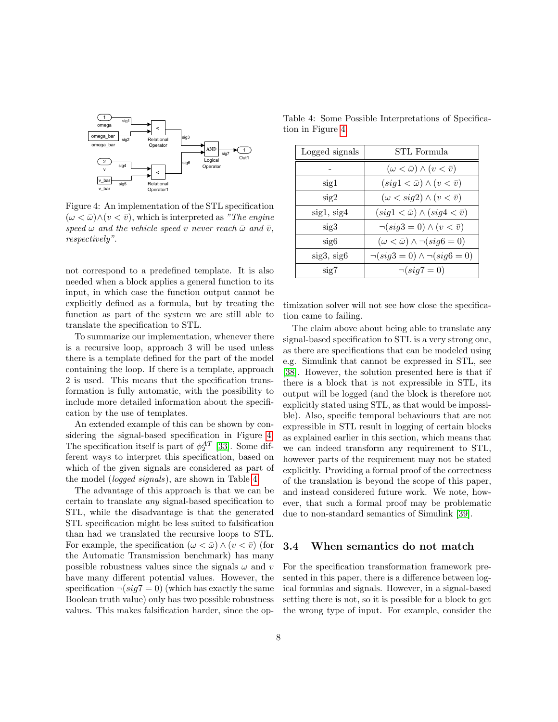<span id="page-7-0"></span>

Figure 4: An implementation of the STL specification  $(\omega < \bar{\omega}) \wedge (v < \bar{v})$ , which is interpreted as "The engine" speed  $\omega$  and the vehicle speed v never reach  $\bar{\omega}$  and  $\bar{v}$ , respectively".

not correspond to a predefined template. It is also needed when a block applies a general function to its input, in which case the function output cannot be explicitly defined as a formula, but by treating the function as part of the system we are still able to translate the specification to STL.

To summarize our implementation, whenever there is a recursive loop, approach 3 will be used unless there is a template defined for the part of the model containing the loop. If there is a template, approach 2 is used. This means that the specification transformation is fully automatic, with the possibility to include more detailed information about the specification by the use of templates.

An extended example of this can be shown by considering the signal-based specification in Figure [4.](#page-7-0) The specification itself is part of  $\phi_2^{AT}$  [\[33\]](#page-19-13). Some different ways to interpret this specification, based on which of the given signals are considered as part of the model (logged signals), are shown in Table [4.](#page-7-1)

The advantage of this approach is that we can be certain to translate any signal-based specification to STL, while the disadvantage is that the generated STL specification might be less suited to falsification than had we translated the recursive loops to STL. For example, the specification  $(\omega < \bar{\omega}) \wedge (v < \bar{v})$  (for the Automatic Transmission benchmark) has many possible robustness values since the signals  $\omega$  and  $v$ have many different potential values. However, the specification  $\neg (sig7 = 0)$  (which has exactly the same Boolean truth value) only has two possible robustness values. This makes falsification harder, since the op-

<span id="page-7-1"></span>Table 4: Some Possible Interpretations of Specification in Figure [4.](#page-7-0)

| Logged signals | STL Formula                                      |
|----------------|--------------------------------------------------|
|                | $(\omega < \bar{\omega}) \wedge (v < \bar{v})$   |
| sig1           | $(sig1 < \bar{\omega}) \wedge (v < \bar{v})$     |
| sig2           | $(\omega < sig2) \wedge (v < \overline{v})$      |
| sig1, sig4     | $(sig1 < \bar{\omega}) \wedge (sig4 < \bar{v})$  |
| sig3           | $\neg (sig3 = 0) \wedge (v < \overline{v})$      |
| sig6           | $(\omega < \bar{\omega}) \wedge \neg (sig6 = 0)$ |
| sig3, sig6     | $\neg (sig3 = 0) \land \neg (sig6 = 0)$          |
| sig7           | $\neg (sig7 = 0)$                                |

timization solver will not see how close the specification came to failing.

The claim above about being able to translate any signal-based specification to STL is a very strong one, as there are specifications that can be modeled using e.g. Simulink that cannot be expressed in STL, see [\[38\]](#page-20-2). However, the solution presented here is that if there is a block that is not expressible in STL, its output will be logged (and the block is therefore not explicitly stated using STL, as that would be impossible). Also, specific temporal behaviours that are not expressible in STL result in logging of certain blocks as explained earlier in this section, which means that we can indeed transform any requirement to STL, however parts of the requirement may not be stated explicitly. Providing a formal proof of the correctness of the translation is beyond the scope of this paper, and instead considered future work. We note, however, that such a formal proof may be problematic due to non-standard semantics of Simulink [\[39\]](#page-20-3).

### 3.4 When semantics do not match

For the specification transformation framework presented in this paper, there is a difference between logical formulas and signals. However, in a signal-based setting there is not, so it is possible for a block to get the wrong type of input. For example, consider the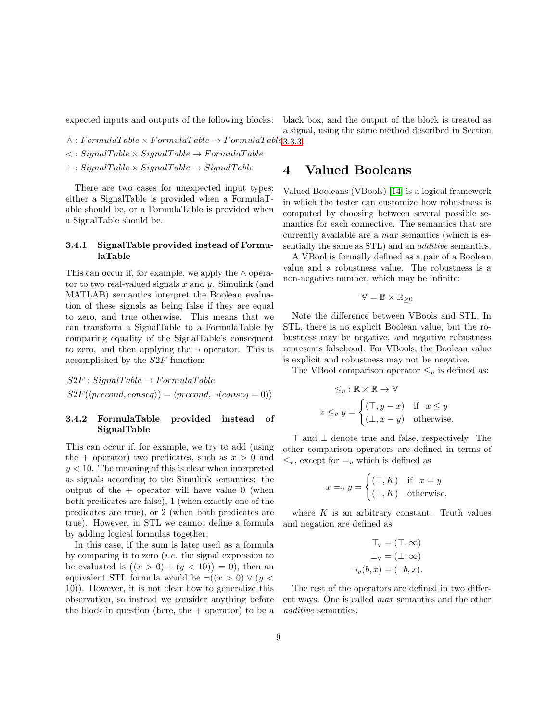expected inputs and outputs of the following blocks:

 $\wedge : FormulaTable \times FormulaTable \rightarrow FormulaTable 3.3.3.$  $\wedge : FormulaTable \times FormulaTable \rightarrow FormulaTable 3.3.3.$  $\langle$ : SignalTable  $\times$  SignalTable  $\rightarrow$  FormulaTable  $+ : SignalTable \times SignalTable \rightarrow SignalTable$ 

There are two cases for unexpected input types: either a SignalTable is provided when a FormulaTable should be, or a FormulaTable is provided when a SignalTable should be.

### 3.4.1 SignalTable provided instead of FormulaTable

This can occur if, for example, we apply the  $\land$  operator to two real-valued signals  $x$  and  $y$ . Simulink (and MATLAB) semantics interpret the Boolean evaluation of these signals as being false if they are equal to zero, and true otherwise. This means that we can transform a SignalTable to a FormulaTable by comparing equality of the SignalTable's consequent to zero, and then applying the  $\neg$  operator. This is accomplished by the S2F function:

 $S2F : SignalTable \rightarrow FormulaTable$  $S2F(\langle \text{precond}, \text{conseq} \rangle) = \langle \text{precond}, \neg (\text{conseq} = 0) \rangle$ 

### 3.4.2 FormulaTable provided instead of SignalTable

This can occur if, for example, we try to add (using the + operator) two predicates, such as  $x > 0$  and  $y < 10$ . The meaning of this is clear when interpreted as signals according to the Simulink semantics: the output of the  $+$  operator will have value 0 (when both predicates are false), 1 (when exactly one of the predicates are true), or 2 (when both predicates are true). However, in STL we cannot define a formula by adding logical formulas together.

In this case, if the sum is later used as a formula by comparing it to zero (*i.e.* the signal expression to be evaluated is  $((x > 0) + (y < 10)) = 0$ , then an equivalent STL formula would be  $\neg((x > 0) \lor (y <$ 10)). However, it is not clear how to generalize this observation, so instead we consider anything before the block in question (here, the  $+$  operator) to be a a signal, using the same method described in Section

black box, and the output of the block is treated as

# <span id="page-8-0"></span>4 Valued Booleans

Valued Booleans (VBools) [\[14\]](#page-18-11) is a logical framework in which the tester can customize how robustness is computed by choosing between several possible semantics for each connective. The semantics that are currently available are a max semantics (which is essentially the same as STL) and an *additive* semantics.

A VBool is formally defined as a pair of a Boolean value and a robustness value. The robustness is a non-negative number, which may be infinite:

$$
\mathbb{V} = \mathbb{B} \times \mathbb{R}_{\geq 0}
$$

Note the difference between VBools and STL. In STL, there is no explicit Boolean value, but the robustness may be negative, and negative robustness represents falsehood. For VBools, the Boolean value is explicit and robustness may not be negative.

The VBool comparison operator  $\leq_v$  is defined as:

$$
\leq_v : \mathbb{R} \times \mathbb{R} \to \mathbb{V}
$$
  

$$
x \leq_v y = \begin{cases} (\top, y - x) & \text{if } x \leq y \\ (\bot, x - y) & \text{otherwise.} \end{cases}
$$

> and ⊥ denote true and false, respectively. The other comparison operators are defined in terms of  $\leq_v$ , except for  $=_v$  which is defined as

$$
x =_v y = \begin{cases} (\top, K) & \text{if } x = y \\ (\bot, K) & \text{otherwise,} \end{cases}
$$

where  $K$  is an arbitrary constant. Truth values and negation are defined as

$$
T_v = (T, \infty)
$$

$$
\bot_v = (\bot, \infty)
$$

$$
\neg_v(b, x) = (\neg b, x).
$$

The rest of the operators are defined in two different ways. One is called max semantics and the other additive semantics.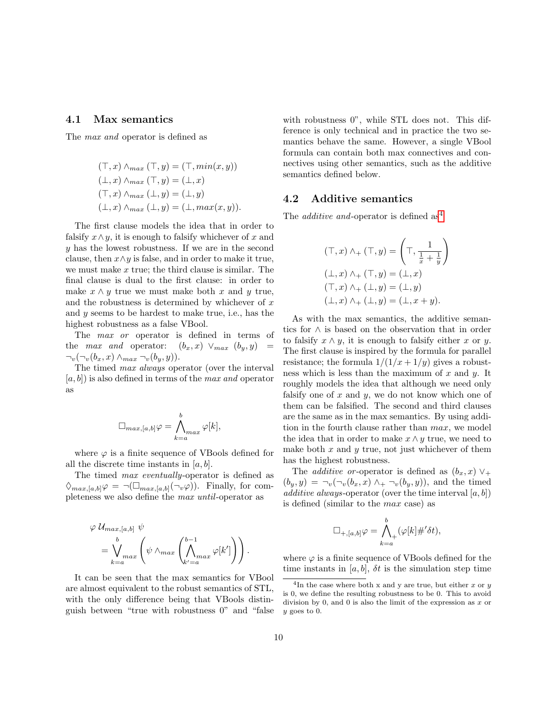### <span id="page-9-0"></span>4.1 Max semantics

The max and operator is defined as

$$
(\top, x) \wedge_{max} (\top, y) = (\top, min(x, y))
$$
  

$$
(\bot, x) \wedge_{max} (\top, y) = (\bot, x)
$$
  

$$
(\top, x) \wedge_{max} (\bot, y) = (\bot, y)
$$
  

$$
(\bot, x) \wedge_{max} (\bot, y) = (\bot, max(x, y)).
$$

The first clause models the idea that in order to falsify  $x \wedge y$ , it is enough to falsify whichever of x and y has the lowest robustness. If we are in the second clause, then  $x \wedge y$  is false, and in order to make it true, we must make  $x$  true; the third clause is similar. The final clause is dual to the first clause: in order to make  $x \wedge y$  true we must make both x and y true, and the robustness is determined by whichever of  $x$ and y seems to be hardest to make true, i.e., has the highest robustness as a false VBool.

The *max or* operator is defined in terms of the *max and* operator:  $(b_x, x) \vee_{max} (b_y, y)$  $\neg_v(\neg_v(b_x, x) \land_{max} \neg_v(b_y, y)).$ 

The timed max always operator (over the interval  $[a, b]$ ) is also defined in terms of the *max and* operator as

$$
\Box_{max,[a,b]}\varphi = \bigwedge_{k=a}^{b} \varphi[k],
$$

where  $\varphi$  is a finite sequence of VBools defined for all the discrete time instants in  $[a, b]$ .

The timed max eventually-operator is defined as  $\Diamond_{max,[a,b]} \varphi = \neg (\Box_{max,[a,b]} (\neg_v \varphi)).$  Finally, for completeness we also define the max until-operator as

$$
\varphi \mathcal{U}_{max,[a,b]} \psi = \bigvee_{k=a}^{b} \psi \wedge_{max} \left( \bigwedge_{k'=a}^{b-1} \varphi[k'] \right).
$$

It can be seen that the max semantics for VBool are almost equivalent to the robust semantics of STL, with the only difference being that VBools distinguish between "true with robustness 0" and "false with robustness 0", while STL does not. This difference is only technical and in practice the two semantics behave the same. However, a single VBool formula can contain both max connectives and connectives using other semantics, such as the additive semantics defined below.

### 4.2 Additive semantics

The *additive and*-operator is defined as<sup>[4](#page-9-1)</sup>

$$
(\top, x) \land_{+} (\top, y) = \left(\top, \frac{1}{\frac{1}{x} + \frac{1}{y}}\right)
$$

$$
(\bot, x) \land_{+} (\top, y) = (\bot, x)
$$

$$
(\top, x) \land_{+} (\bot, y) = (\bot, y)
$$

$$
(\bot, x) \land_{+} (\bot, y) = (\bot, x + y).
$$

As with the max semantics, the additive semantics for ∧ is based on the observation that in order to falsify  $x \wedge y$ , it is enough to falsify either x or y. The first clause is inspired by the formula for parallel resistance; the formula  $1/(1/x + 1/y)$  gives a robustness which is less than the maximum of  $x$  and  $y$ . It roughly models the idea that although we need only falsify one of  $x$  and  $y$ , we do not know which one of them can be falsified. The second and third clauses are the same as in the max semantics. By using addition in the fourth clause rather than max, we model the idea that in order to make  $x \wedge y$  true, we need to make both  $x$  and  $y$  true, not just whichever of them has the highest robustness.

The *additive or*-operator is defined as  $(b_x, x)$   $\vee$ +  $(b_y, y) = \neg_v(\neg_v(b_x, x) \land + \neg_v(b_y, y))$ , and the timed additive always-operator (over the time interval  $[a, b]$ ) is defined (similar to the max case) as

$$
\Box_{+, [a,b]}\varphi = \bigwedge_{k=a}^{b} (\varphi[k]\#'\delta t),
$$

where  $\varphi$  is a finite sequence of VBools defined for the time instants in  $[a, b]$ ,  $\delta t$  is the simulation step time

<span id="page-9-1"></span><sup>&</sup>lt;sup>4</sup>In the case where both x and y are true, but either x or y is 0, we define the resulting robustness to be 0. This to avoid division by 0, and 0 is also the limit of the expression as x or y goes to 0.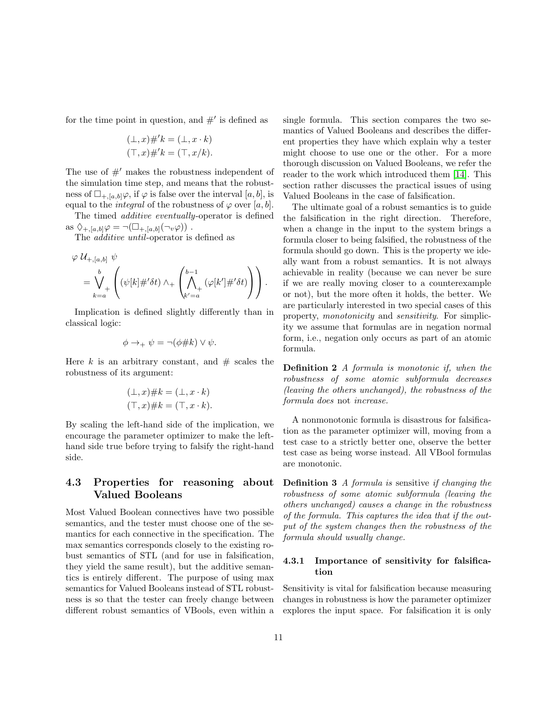for the time point in question, and  $#$ ' is defined as

$$
(\bot, x) \# 'k = (\bot, x \cdot k)
$$

$$
(\top, x) \# 'k = (\top, x/k).
$$

The use of  $#$  makes the robustness independent of the simulation time step, and means that the robustness of  $\Box_{+,a,b} \varphi$ , if  $\varphi$  is false over the interval  $[a, b]$ , is equal to the *integral* of the robustness of  $\varphi$  over [a, b].

The timed additive eventually-operator is defined as  $\Diamond_{+,[a,b]}\varphi=\neg(\Box_{+,[a,b]}(\neg v\varphi))$ .

The *additive until*-operator is defined as

$$
\varphi \mathcal{U}_{+,[a,b]} \psi = \bigvee_{k=a}^{b} \left( (\psi[k]\#'\delta t) \wedge_+ \left( \bigwedge_{k'=a}^{b-1} (\varphi[k']\#'\delta t) \right) \right).
$$

Implication is defined slightly differently than in classical logic:

$$
\phi \rightarrow_{+} \psi = \neg(\phi \# k) \vee \psi.
$$

Here k is an arbitrary constant, and  $#$  scales the robustness of its argument:

$$
(\bot, x) \# k = (\bot, x \cdot k)
$$

$$
(\top, x) \# k = (\top, x \cdot k).
$$

By scaling the left-hand side of the implication, we encourage the parameter optimizer to make the lefthand side true before trying to falsify the right-hand side.

# 4.3 Properties for reasoning about Valued Booleans

Most Valued Boolean connectives have two possible semantics, and the tester must choose one of the semantics for each connective in the specification. The max semantics corresponds closely to the existing robust semantics of STL (and for use in falsification, they yield the same result), but the additive semantics is entirely different. The purpose of using max semantics for Valued Booleans instead of STL robustness is so that the tester can freely change between different robust semantics of VBools, even within a single formula. This section compares the two semantics of Valued Booleans and describes the different properties they have which explain why a tester might choose to use one or the other. For a more thorough discussion on Valued Booleans, we refer the reader to the work which introduced them [\[14\]](#page-18-11). This section rather discusses the practical issues of using Valued Booleans in the case of falsification.

The ultimate goal of a robust semantics is to guide the falsification in the right direction. Therefore, when a change in the input to the system brings a formula closer to being falsified, the robustness of the formula should go down. This is the property we ideally want from a robust semantics. It is not always achievable in reality (because we can never be sure if we are really moving closer to a counterexample or not), but the more often it holds, the better. We are particularly interested in two special cases of this property, monotonicity and sensitivity. For simplicity we assume that formulas are in negation normal form, i.e., negation only occurs as part of an atomic formula.

Definition 2 A formula is monotonic if, when the robustness of some atomic subformula decreases (leaving the others unchanged), the robustness of the formula does not increase.

A nonmonotonic formula is disastrous for falsification as the parameter optimizer will, moving from a test case to a strictly better one, observe the better test case as being worse instead. All VBool formulas are monotonic.

Definition 3 A formula is sensitive if changing the robustness of some atomic subformula (leaving the others unchanged) causes a change in the robustness of the formula. This captures the idea that if the output of the system changes then the robustness of the formula should usually change.

### 4.3.1 Importance of sensitivity for falsification

Sensitivity is vital for falsification because measuring changes in robustness is how the parameter optimizer explores the input space. For falsification it is only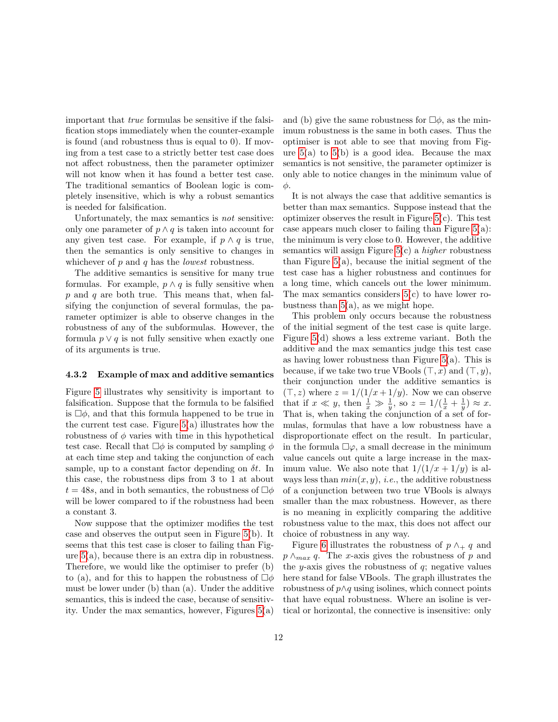important that true formulas be sensitive if the falsification stops immediately when the counter-example is found (and robustness thus is equal to 0). If moving from a test case to a strictly better test case does not affect robustness, then the parameter optimizer will not know when it has found a better test case. The traditional semantics of Boolean logic is completely insensitive, which is why a robust semantics is needed for falsification.

Unfortunately, the max semantics is not sensitive: only one parameter of  $p \wedge q$  is taken into account for any given test case. For example, if  $p \wedge q$  is true, then the semantics is only sensitive to changes in whichever of  $p$  and  $q$  has the *lowest* robustness.

The additive semantics is sensitive for many true formulas. For example,  $p \wedge q$  is fully sensitive when  $p$  and  $q$  are both true. This means that, when falsifying the conjunction of several formulas, the parameter optimizer is able to observe changes in the robustness of any of the subformulas. However, the formula  $p \vee q$  is not fully sensitive when exactly one of its arguments is true.

### 4.3.2 Example of max and additive semantics

Figure [5](#page-12-0) illustrates why sensitivity is important to falsification. Suppose that the formula to be falsified is  $\Box \phi$ , and that this formula happened to be true in the current test case. Figure [5\(](#page-12-0)a) illustrates how the robustness of  $\phi$  varies with time in this hypothetical test case. Recall that  $\Box \phi$  is computed by sampling  $\phi$ at each time step and taking the conjunction of each sample, up to a constant factor depending on  $\delta t$ . In this case, the robustness dips from 3 to 1 at about  $t = 48s$ , and in both semantics, the robustness of  $\Box \phi$ will be lower compared to if the robustness had been a constant 3.

Now suppose that the optimizer modifies the test case and observes the output seen in Figure [5\(](#page-12-0)b). It seems that this test case is closer to failing than Figure [5\(](#page-12-0)a), because there is an extra dip in robustness. Therefore, we would like the optimiser to prefer (b) to (a), and for this to happen the robustness of  $\Box \phi$ must be lower under (b) than (a). Under the additive semantics, this is indeed the case, because of sensitivity. Under the max semantics, however, Figures  $5(a)$  and (b) give the same robustness for  $\Box \phi$ , as the minimum robustness is the same in both cases. Thus the optimiser is not able to see that moving from Figure  $5(a)$  to  $5(b)$  is a good idea. Because the max semantics is not sensitive, the parameter optimizer is only able to notice changes in the minimum value of φ.

It is not always the case that additive semantics is better than max semantics. Suppose instead that the optimizer observes the result in Figure [5\(](#page-12-0)c). This test case appears much closer to failing than Figure  $5(a)$ : the minimum is very close to 0. However, the additive semantics will assign Figure  $5(c)$  a *higher* robustness than Figure  $5(a)$ , because the initial segment of the test case has a higher robustness and continues for a long time, which cancels out the lower minimum. The max semantics considers  $5(c)$  to have lower robustness than  $5(a)$ , as we might hope.

This problem only occurs because the robustness of the initial segment of the test case is quite large. Figure [5\(](#page-12-0)d) shows a less extreme variant. Both the additive and the max semantics judge this test case as having lower robustness than Figure  $5(a)$ . This is because, if we take two true VBools  $(\top, x)$  and  $(\top, y)$ , their conjunction under the additive semantics is  $(\top, z)$  where  $z = 1/(1/x + 1/y)$ . Now we can observe that if  $x \ll y$ , then  $\frac{1}{x} \gg \frac{1}{y}$ , so  $z = 1/(\frac{1}{x} + \frac{1}{y}) \approx x$ . That is, when taking the conjunction of a set of formulas, formulas that have a low robustness have a disproportionate effect on the result. In particular, in the formula  $\square \varphi$ , a small decrease in the minimum value cancels out quite a large increase in the maximum value. We also note that  $1/(1/x + 1/y)$  is always less than  $min(x, y)$ , *i.e.*, the additive robustness of a conjunction between two true VBools is always smaller than the max robustness. However, as there is no meaning in explicitly comparing the additive robustness value to the max, this does not affect our choice of robustness in any way.

Figure [6](#page-13-1) illustrates the robustness of  $p \wedge_{+} q$  and  $p \wedge_{max} q$ . The x-axis gives the robustness of p and the y-axis gives the robustness of  $q$ ; negative values here stand for false VBools. The graph illustrates the robustness of  $p \wedge q$  using isolines, which connect points that have equal robustness. Where an isoline is vertical or horizontal, the connective is insensitive: only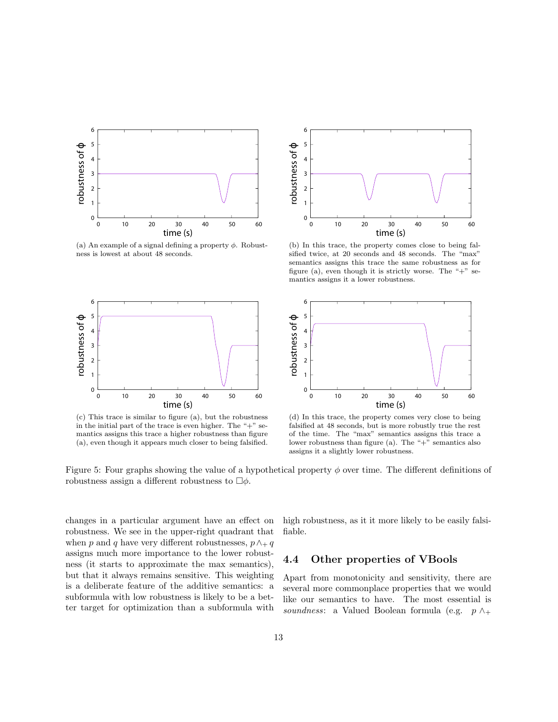<span id="page-12-0"></span>

(a) An example of a signal defining a property  $\phi$ . Robustness is lowest at about 48 seconds.



(c) This trace is similar to figure (a), but the robustness in the initial part of the trace is even higher. The "+" semantics assigns this trace a higher robustness than figure (a), even though it appears much closer to being falsified.



(b) In this trace, the property comes close to being falsified twice, at 20 seconds and 48 seconds. The "max" semantics assigns this trace the same robustness as for figure (a), even though it is strictly worse. The "+" semantics assigns it a lower robustness.



(d) In this trace, the property comes very close to being falsified at 48 seconds, but is more robustly true the rest of the time. The "max" semantics assigns this trace a lower robustness than figure (a). The " $+$ " semantics also assigns it a slightly lower robustness.

Figure 5: Four graphs showing the value of a hypothetical property  $\phi$  over time. The different definitions of robustness assign a different robustness to  $\Box \phi$ .

changes in a particular argument have an effect on robustness. We see in the upper-right quadrant that when p and q have very different robustnesses,  $p \wedge_+ q$ assigns much more importance to the lower robustness (it starts to approximate the max semantics), but that it always remains sensitive. This weighting is a deliberate feature of the additive semantics: a subformula with low robustness is likely to be a better target for optimization than a subformula with

high robustness, as it it more likely to be easily falsifiable.

### 4.4 Other properties of VBools

Apart from monotonicity and sensitivity, there are several more commonplace properties that we would like our semantics to have. The most essential is soundness: a Valued Boolean formula (e.g.  $p \wedge_{+}$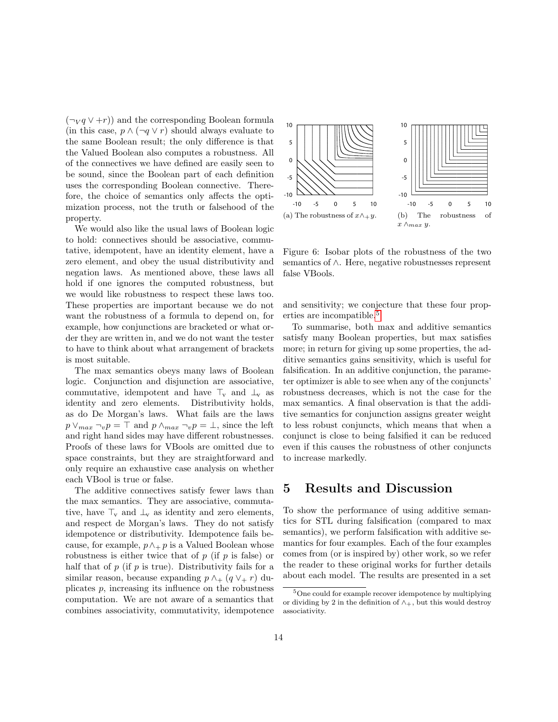$(\neg V q \lor \neg r)$  and the corresponding Boolean formula (in this case,  $p \wedge (\neg q \vee r)$  should always evaluate to the same Boolean result; the only difference is that the Valued Boolean also computes a robustness. All of the connectives we have defined are easily seen to be sound, since the Boolean part of each definition uses the corresponding Boolean connective. Therefore, the choice of semantics only affects the optimization process, not the truth or falsehood of the property.

We would also like the usual laws of Boolean logic to hold: connectives should be associative, commutative, idempotent, have an identity element, have a zero element, and obey the usual distributivity and negation laws. As mentioned above, these laws all hold if one ignores the computed robustness, but we would like robustness to respect these laws too. These properties are important because we do not want the robustness of a formula to depend on, for example, how conjunctions are bracketed or what order they are written in, and we do not want the tester to have to think about what arrangement of brackets is most suitable.

The max semantics obeys many laws of Boolean logic. Conjunction and disjunction are associative, commutative, idempotent and have  $\top_{\mathbf{v}}$  and  $\bot_{\mathbf{v}}$  as identity and zero elements. Distributivity holds, as do De Morgan's laws. What fails are the laws  $p \vee_{max} \neg_{v} p = \top$  and  $p \wedge_{max} \neg_{v} p = \bot$ , since the left and right hand sides may have different robustnesses. Proofs of these laws for VBools are omitted due to space constraints, but they are straightforward and only require an exhaustive case analysis on whether each VBool is true or false.

The additive connectives satisfy fewer laws than the max semantics. They are associative, commutative, have  $\top_{\mathbf{v}}$  and  $\bot_{\mathbf{v}}$  as identity and zero elements, and respect de Morgan's laws. They do not satisfy idempotence or distributivity. Idempotence fails because, for example,  $p \wedge p$  is a Valued Boolean whose robustness is either twice that of  $p$  (if  $p$  is false) or half that of  $p$  (if  $p$  is true). Distributivity fails for a similar reason, because expanding  $p \wedge_{+} (q \vee_{+} r)$  duplicates p, increasing its influence on the robustness computation. We are not aware of a semantics that combines associativity, commutativity, idempotence

<span id="page-13-1"></span>

Figure 6: Isobar plots of the robustness of the two semantics of ∧. Here, negative robustnesses represent false VBools.

and sensitivity; we conjecture that these four prop-erties are incompatible.<sup>[5](#page-13-2)</sup>

To summarise, both max and additive semantics satisfy many Boolean properties, but max satisfies more; in return for giving up some properties, the additive semantics gains sensitivity, which is useful for falsification. In an additive conjunction, the parameter optimizer is able to see when any of the conjuncts' robustness decreases, which is not the case for the max semantics. A final observation is that the additive semantics for conjunction assigns greater weight to less robust conjuncts, which means that when a conjunct is close to being falsified it can be reduced even if this causes the robustness of other conjuncts to increase markedly.

# <span id="page-13-0"></span>5 Results and Discussion

To show the performance of using additive semantics for STL during falsification (compared to max semantics), we perform falsification with additive semantics for four examples. Each of the four examples comes from (or is inspired by) other work, so we refer the reader to these original works for further details about each model. The results are presented in a set

<span id="page-13-2"></span><sup>5</sup>One could for example recover idempotence by multiplying or dividing by 2 in the definition of  $\wedge_+$ , but this would destroy associativity.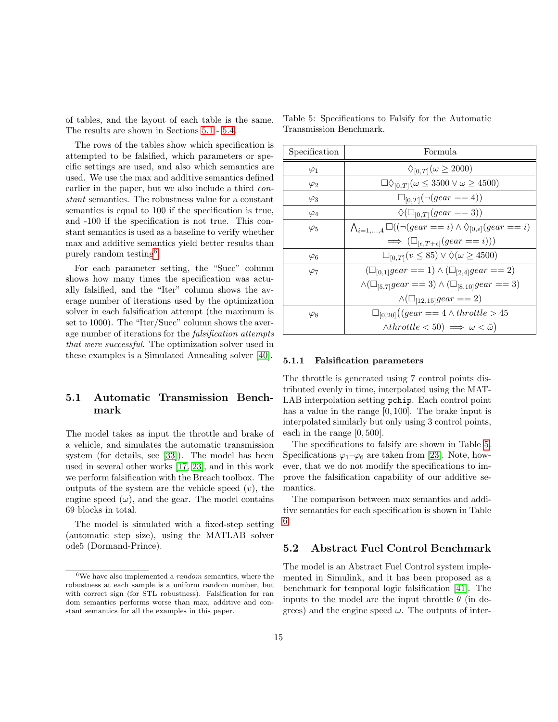of tables, and the layout of each table is the same. The results are shown in Sections [5.1](#page-14-0) - [5.4.](#page-15-0)

The rows of the tables show which specification is attempted to be falsified, which parameters or specific settings are used, and also which semantics are used. We use the max and additive semantics defined earlier in the paper, but we also include a third constant semantics. The robustness value for a constant semantics is equal to 100 if the specification is true, and -100 if the specification is not true. This constant semantics is used as a baseline to verify whether max and additive semantics yield better results than purely random testing<sup>[6](#page-14-1)</sup>.

For each parameter setting, the "Succ" column shows how many times the specification was actually falsified, and the "Iter" column shows the average number of iterations used by the optimization solver in each falsification attempt (the maximum is set to 1000). The "Iter/Succ" column shows the average number of iterations for the falsification attempts that were successful. The optimization solver used in these examples is a Simulated Annealing solver [\[40\]](#page-20-4).

# <span id="page-14-0"></span>5.1 Automatic Transmission Benchmark

The model takes as input the throttle and brake of a vehicle, and simulates the automatic transmission system (for details, see [\[33\]](#page-19-13)). The model has been used in several other works [\[17,](#page-18-14) [23\]](#page-19-3), and in this work we perform falsification with the Breach toolbox. The outputs of the system are the vehicle speed  $(v)$ , the engine speed  $(\omega)$ , and the gear. The model contains 69 blocks in total.

The model is simulated with a fixed-step setting (automatic step size), using the MATLAB solver ode5 (Dormand-Prince).

| Specification | Formula                                                                                       |
|---------------|-----------------------------------------------------------------------------------------------|
| $\varphi_1$   | $\Diamond_{[0,T]}(\omega \geq 2000)$                                                          |
| $\varphi_2$   | $\Box\Diamond_{[0,T]}(\omega \leq 3500 \vee \omega \geq 4500)$                                |
| $\varphi_3$   | $\Box_{[0,T]}(\neg (gear == 4))$                                                              |
| $\varphi_4$   | $\Diamond(\Box_{[0,T]}(gear == 3))$                                                           |
| $\varphi_5$   | $\bigwedge_{i=1,\ldots,4} \Box ((\neg (gear == i) \wedge \Diamond_{[0,\epsilon]} (gear == i)$ |
|               | $\implies (\Box_{[\epsilon,T+\epsilon]}(gear == i)))$                                         |
| $\varphi_6$   | $\Box_{[0,T]}(v \leq 85) \vee \Diamond(\omega \geq 4500)$                                     |
| $\varphi_7$   | $(\Box_{[0,1]} gear == 1) \land (\Box_{[2,4]} gear == 2)$                                     |
|               | $\wedge (\Box_{[5,7]} gear == 3) \wedge (\Box_{[8,10]} gear == 3)$                            |
|               | $\wedge (\Box_{[12,15]} gear == 2)$                                                           |
| $\varphi_8$   | $\Box_{[0,20]}((gear == 4 \wedge throttle > 45$                                               |
|               | $\wedge \text{throttle} < 50) \implies \omega < \bar{\omega}$                                 |

<span id="page-14-2"></span>Table 5: Specifications to Falsify for the Automatic Transmission Benchmark.

### 5.1.1 Falsification parameters

The throttle is generated using 7 control points distributed evenly in time, interpolated using the MAT-LAB interpolation setting pchip. Each control point has a value in the range [0, 100]. The brake input is interpolated similarly but only using 3 control points, each in the range [0, 500].

The specifications to falsify are shown in Table [5.](#page-14-2) Specifications  $\varphi_1-\varphi_6$  are taken from [\[23\]](#page-19-3). Note, however, that we do not modify the specifications to improve the falsification capability of our additive semantics.

The comparison between max semantics and additive semantics for each specification is shown in Table [6.](#page-21-0)

### 5.2 Abstract Fuel Control Benchmark

The model is an Abstract Fuel Control system implemented in Simulink, and it has been proposed as a benchmark for temporal logic falsification [\[41\]](#page-20-5). The inputs to the model are the input throttle  $\theta$  (in degrees) and the engine speed  $\omega$ . The outputs of inter-

<span id="page-14-1"></span> $^6\mathrm{We}$  have also implemented a  $random$  semantics, where the robustness at each sample is a uniform random number, but with correct sign (for STL robustness). Falsification for ran dom semantics performs worse than max, additive and constant semantics for all the examples in this paper.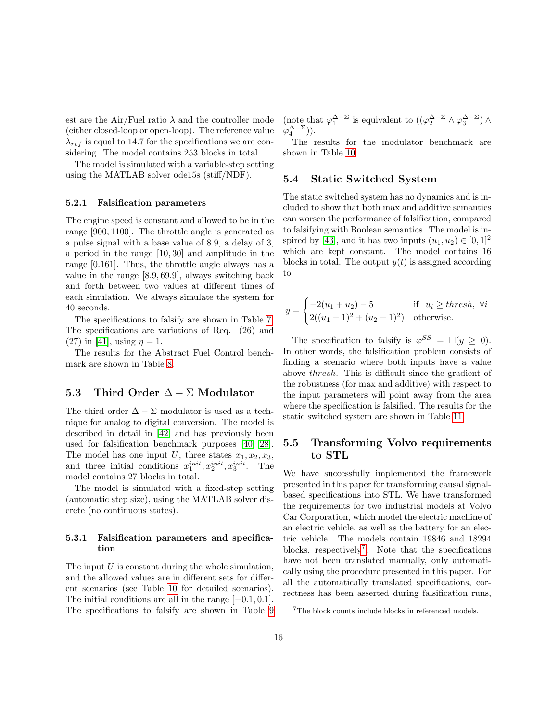est are the Air/Fuel ratio  $\lambda$  and the controller mode (either closed-loop or open-loop). The reference value  $\lambda_{ref}$  is equal to 14.7 for the specifications we are considering. The model contains 253 blocks in total.

The model is simulated with a variable-step setting using the MATLAB solver ode15s (stiff/NDF).

### 5.2.1 Falsification parameters

The engine speed is constant and allowed to be in the range [900, 1100]. The throttle angle is generated as a pulse signal with a base value of 8.9, a delay of 3, a period in the range [10, 30] and amplitude in the range [0.161]. Thus, the throttle angle always has a value in the range [8.9, 69.9], always switching back and forth between two values at different times of each simulation. We always simulate the system for 40 seconds.

The specifications to falsify are shown in Table [7.](#page-22-0) The specifications are variations of Req. (26) and (27) in [\[41\]](#page-20-5), using  $\eta = 1$ .

The results for the Abstract Fuel Control benchmark are shown in Table [8.](#page-23-0)

### 5.3 Third Order  $\Delta - \Sigma$  Modulator

The third order  $\Delta - \Sigma$  modulator is used as a technique for analog to digital conversion. The model is described in detail in [\[42\]](#page-20-6) and has previously been used for falsification benchmark purposes [\[40,](#page-20-4) [28\]](#page-19-8). The model has one input U, three states  $x_1, x_2, x_3$ , and three initial conditions  $x_1^{init}, x_2^{init}, x_3^{init}$ . The model contains 27 blocks in total.

The model is simulated with a fixed-step setting (automatic step size), using the MATLAB solver discrete (no continuous states).

### 5.3.1 Falsification parameters and specification

The input  $U$  is constant during the whole simulation, and the allowed values are in different sets for different scenarios (see Table [10](#page-24-0) for detailed scenarios). The initial conditions are all in the range  $[-0.1, 0.1]$ . The specifications to falsify are shown in Table [9](#page-23-1) (note that  $\varphi_1^{\Delta-\Sigma}$  is equivalent to  $((\varphi_2^{\Delta-\Sigma} \wedge \varphi_3^{\Delta-\Sigma}) \wedge$  $\varphi_4^{\Delta-\Sigma}$ )).

The results for the modulator benchmark are shown in Table [10.](#page-24-0)

### <span id="page-15-0"></span>5.4 Static Switched System

The static switched system has no dynamics and is included to show that both max and additive semantics can worsen the performance of falsification, compared to falsifying with Boolean semantics. The model is in-spired by [\[43\]](#page-20-7), and it has two inputs  $(u_1, u_2) \in [0, 1]^2$ which are kept constant. The model contains 16 blocks in total. The output  $y(t)$  is assigned according to

$$
y = \begin{cases} -2(u_1 + u_2) - 5 & \text{if } u_i \geq \text{thresh}, \ \forall i \\ 2((u_1 + 1)^2 + (u_2 + 1)^2) & \text{otherwise.} \end{cases}
$$

The specification to falsify is  $\varphi^{SS} = \Box(y \geq 0)$ . In other words, the falsification problem consists of finding a scenario where both inputs have a value above thresh. This is difficult since the gradient of the robustness (for max and additive) with respect to the input parameters will point away from the area where the specification is falsified. The results for the static switched system are shown in Table [11.](#page-24-1)

# 5.5 Transforming Volvo requirements to STL

We have successfully implemented the framework presented in this paper for transforming causal signalbased specifications into STL. We have transformed the requirements for two industrial models at Volvo Car Corporation, which model the electric machine of an electric vehicle, as well as the battery for an electric vehicle. The models contain 19846 and 18294 blocks, respectively<sup>[7](#page-15-1)</sup>. Note that the specifications have not been translated manually, only automatically using the procedure presented in this paper. For all the automatically translated specifications, correctness has been asserted during falsification runs,

<span id="page-15-1"></span> ${\rm ^7The}$  block counts include blocks in referenced models.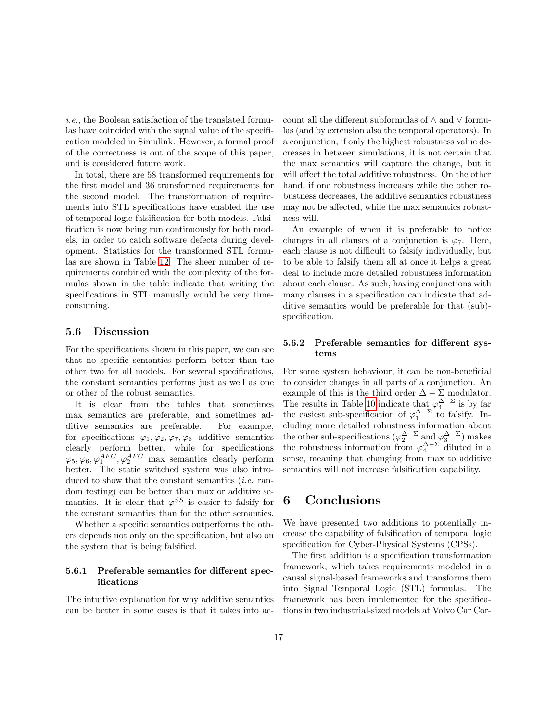i.e., the Boolean satisfaction of the translated formulas have coincided with the signal value of the specification modeled in Simulink. However, a formal proof of the correctness is out of the scope of this paper, and is considered future work.

In total, there are 58 transformed requirements for the first model and 36 transformed requirements for the second model. The transformation of requirements into STL specifications have enabled the use of temporal logic falsification for both models. Falsification is now being run continuously for both models, in order to catch software defects during development. Statistics for the transformed STL formulas are shown in Table [12.](#page-24-2) The sheer number of requirements combined with the complexity of the formulas shown in the table indicate that writing the specifications in STL manually would be very timeconsuming.

### 5.6 Discussion

For the specifications shown in this paper, we can see that no specific semantics perform better than the other two for all models. For several specifications, the constant semantics performs just as well as one or other of the robust semantics.

It is clear from the tables that sometimes max semantics are preferable, and sometimes additive semantics are preferable. For example, for specifications  $\varphi_1, \varphi_2, \varphi_7, \varphi_8$  additive semantics clearly perform better, while for specifications  $\varphi_5, \varphi_6, \varphi_1^{AFC}, \varphi_2^{AFC}$  max semantics clearly perform better. The static switched system was also introduced to show that the constant semantics *(i.e.* random testing) can be better than max or additive semantics. It is clear that  $\varphi^{SS}$  is easier to falsify for the constant semantics than for the other semantics.

Whether a specific semantics outperforms the others depends not only on the specification, but also on the system that is being falsified.

### 5.6.1 Preferable semantics for different specifications

The intuitive explanation for why additive semantics can be better in some cases is that it takes into account all the different subformulas of ∧ and ∨ formulas (and by extension also the temporal operators). In a conjunction, if only the highest robustness value decreases in between simulations, it is not certain that the max semantics will capture the change, but it will affect the total additive robustness. On the other hand, if one robustness increases while the other robustness decreases, the additive semantics robustness may not be affected, while the max semantics robustness will.

An example of when it is preferable to notice changes in all clauses of a conjunction is  $\varphi$ <sub>7</sub>. Here, each clause is not difficult to falsify individually, but to be able to falsify them all at once it helps a great deal to include more detailed robustness information about each clause. As such, having conjunctions with many clauses in a specification can indicate that additive semantics would be preferable for that (sub) specification.

### 5.6.2 Preferable semantics for different systems

For some system behaviour, it can be non-beneficial to consider changes in all parts of a conjunction. An example of this is the third order  $\Delta - \Sigma$  modulator. The results in Table [10](#page-24-0) indicate that  $\varphi_4^{\Delta-\Sigma}$  is by far the easiest sub-specification of  $\varphi_1^{\Delta-\Sigma}$  to falsify. Including more detailed robustness information about the other sub-specifications  $(\varphi_2^{\Delta-\Sigma} \text{ and } \varphi_3^{\Delta-\Sigma})$  makes the robustness information from  $\varphi_4^{\Delta-\Sigma}$  diluted in a sense, meaning that changing from max to additive semantics will not increase falsification capability.

# <span id="page-16-0"></span>6 Conclusions

We have presented two additions to potentially increase the capability of falsification of temporal logic specification for Cyber-Physical Systems (CPSs).

The first addition is a specification transformation framework, which takes requirements modeled in a causal signal-based frameworks and transforms them into Signal Temporal Logic (STL) formulas. The framework has been implemented for the specifications in two industrial-sized models at Volvo Car Cor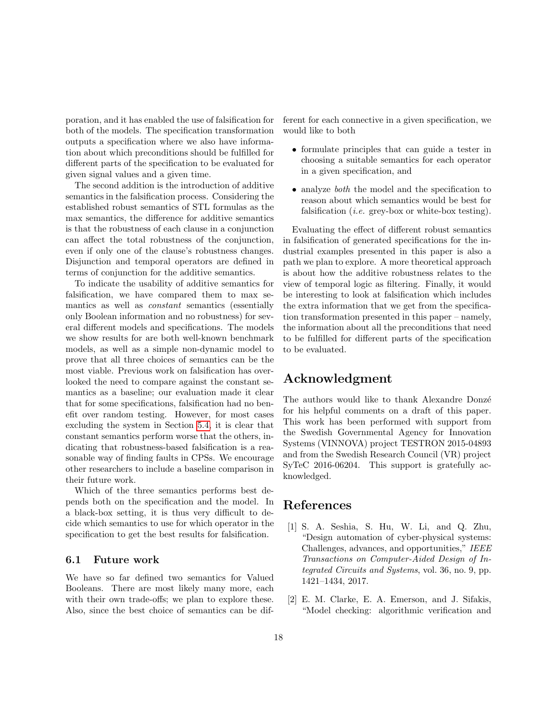poration, and it has enabled the use of falsification for both of the models. The specification transformation outputs a specification where we also have information about which preconditions should be fulfilled for different parts of the specification to be evaluated for given signal values and a given time.

The second addition is the introduction of additive semantics in the falsification process. Considering the established robust semantics of STL formulas as the max semantics, the difference for additive semantics is that the robustness of each clause in a conjunction can affect the total robustness of the conjunction, even if only one of the clause's robustness changes. Disjunction and temporal operators are defined in terms of conjunction for the additive semantics.

To indicate the usability of additive semantics for falsification, we have compared them to max semantics as well as constant semantics (essentially only Boolean information and no robustness) for several different models and specifications. The models we show results for are both well-known benchmark models, as well as a simple non-dynamic model to prove that all three choices of semantics can be the most viable. Previous work on falsification has overlooked the need to compare against the constant semantics as a baseline; our evaluation made it clear that for some specifications, falsification had no benefit over random testing. However, for most cases excluding the system in Section [5.4,](#page-15-0) it is clear that constant semantics perform worse that the others, indicating that robustness-based falsification is a reasonable way of finding faults in CPSs. We encourage other researchers to include a baseline comparison in their future work.

Which of the three semantics performs best depends both on the specification and the model. In a black-box setting, it is thus very difficult to decide which semantics to use for which operator in the specification to get the best results for falsification.

### 6.1 Future work

We have so far defined two semantics for Valued Booleans. There are most likely many more, each with their own trade-offs; we plan to explore these. Also, since the best choice of semantics can be different for each connective in a given specification, we would like to both

- formulate principles that can guide a tester in choosing a suitable semantics for each operator in a given specification, and
- analyze *both* the model and the specification to reason about which semantics would be best for falsification (*i.e.* grey-box or white-box testing).

Evaluating the effect of different robust semantics in falsification of generated specifications for the industrial examples presented in this paper is also a path we plan to explore. A more theoretical approach is about how the additive robustness relates to the view of temporal logic as filtering. Finally, it would be interesting to look at falsification which includes the extra information that we get from the specification transformation presented in this paper – namely, the information about all the preconditions that need to be fulfilled for different parts of the specification to be evaluated.

# Acknowledgment

The authors would like to thank Alexandre Donzé for his helpful comments on a draft of this paper. This work has been performed with support from the Swedish Governmental Agency for Innovation Systems (VINNOVA) project TESTRON 2015-04893 and from the Swedish Research Council (VR) project SyTeC 2016-06204. This support is gratefully acknowledged.

# References

- <span id="page-17-0"></span>[1] S. A. Seshia, S. Hu, W. Li, and Q. Zhu, "Design automation of cyber-physical systems: Challenges, advances, and opportunities," IEEE Transactions on Computer-Aided Design of Integrated Circuits and Systems, vol. 36, no. 9, pp. 1421–1434, 2017.
- <span id="page-17-1"></span>[2] E. M. Clarke, E. A. Emerson, and J. Sifakis, "Model checking: algorithmic verification and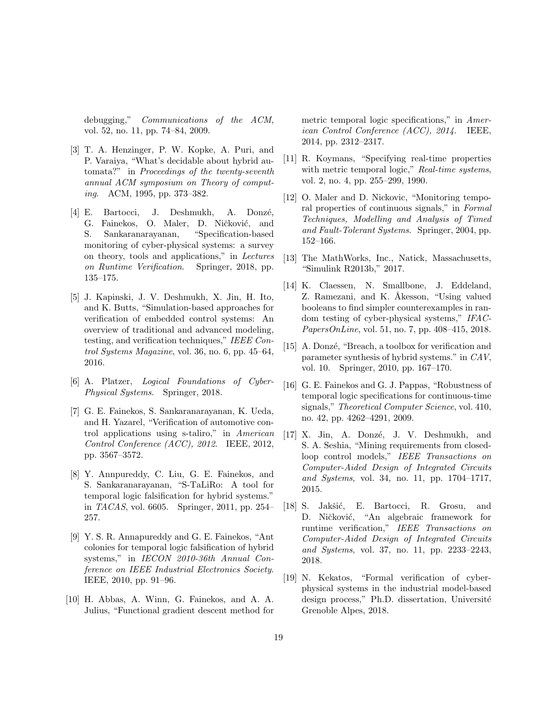debugging," Communications of the ACM, vol. 52, no. 11, pp. 74–84, 2009.

- <span id="page-18-0"></span>[3] T. A. Henzinger, P. W. Kopke, A. Puri, and P. Varaiya, "What's decidable about hybrid automata?" in Proceedings of the twenty-seventh annual ACM symposium on Theory of computing. ACM, 1995, pp. 373–382.
- <span id="page-18-1"></span>[4] E. Bartocci, J. Deshmukh, A. Donzé, G. Fainekos, O. Maler, D. Ničković, and S. Sankaranarayanan, "Specification-based monitoring of cyber-physical systems: a survey on theory, tools and applications," in Lectures on Runtime Verification. Springer, 2018, pp. 135–175.
- <span id="page-18-2"></span>[5] J. Kapinski, J. V. Deshmukh, X. Jin, H. Ito, and K. Butts, "Simulation-based approaches for verification of embedded control systems: An overview of traditional and advanced modeling, testing, and verification techniques," IEEE Control Systems Magazine, vol. 36, no. 6, pp. 45–64, 2016.
- <span id="page-18-3"></span>[6] A. Platzer, Logical Foundations of Cyber-Physical Systems. Springer, 2018.
- <span id="page-18-4"></span>[7] G. E. Fainekos, S. Sankaranarayanan, K. Ueda, and H. Yazarel, "Verification of automotive control applications using s-taliro," in American Control Conference (ACC), 2012. IEEE, 2012, pp. 3567–3572.
- <span id="page-18-5"></span>[8] Y. Annpureddy, C. Liu, G. E. Fainekos, and S. Sankaranarayanan, "S-TaLiRo: A tool for temporal logic falsification for hybrid systems." in TACAS, vol. 6605. Springer, 2011, pp. 254– 257.
- <span id="page-18-6"></span>[9] Y. S. R. Annapureddy and G. E. Fainekos, "Ant colonies for temporal logic falsification of hybrid systems," in IECON 2010-36th Annual Conference on IEEE Industrial Electronics Society. IEEE, 2010, pp. 91–96.
- <span id="page-18-7"></span>[10] H. Abbas, A. Winn, G. Fainekos, and A. A. Julius, "Functional gradient descent method for

metric temporal logic specifications," in American Control Conference (ACC), 2014. IEEE, 2014, pp. 2312–2317.

- <span id="page-18-8"></span>[11] R. Koymans, "Specifying real-time properties with metric temporal logic," Real-time systems, vol. 2, no. 4, pp. 255–299, 1990.
- <span id="page-18-9"></span>[12] O. Maler and D. Nickovic, "Monitoring temporal properties of continuous signals," in Formal Techniques, Modelling and Analysis of Timed and Fault-Tolerant Systems. Springer, 2004, pp. 152–166.
- <span id="page-18-10"></span>[13] The MathWorks, Inc., Natick, Massachusetts, "Simulink R2013b," 2017.
- <span id="page-18-11"></span>[14] K. Claessen, N. Smallbone, J. Eddeland, Z. Ramezani, and K. Åkesson, "Using valued booleans to find simpler counterexamples in random testing of cyber-physical systems," IFAC-PapersOnLine, vol. 51, no. 7, pp. 408–415, 2018.
- <span id="page-18-12"></span>[15] A. Donzé, "Breach, a toolbox for verification and parameter synthesis of hybrid systems." in CAV, vol. 10. Springer, 2010, pp. 167–170.
- <span id="page-18-13"></span>[16] G. E. Fainekos and G. J. Pappas, "Robustness of temporal logic specifications for continuous-time signals," Theoretical Computer Science, vol. 410, no. 42, pp. 4262–4291, 2009.
- <span id="page-18-14"></span>[17] X. Jin, A. Donzé, J. V. Deshmukh, and S. A. Seshia, "Mining requirements from closedloop control models," IEEE Transactions on Computer-Aided Design of Integrated Circuits and Systems, vol. 34, no. 11, pp. 1704–1717, 2015.
- <span id="page-18-15"></span>[18] S. Jakšić, E. Bartocci, R. Grosu, and D. Ničković, "An algebraic framework for runtime verification," IEEE Transactions on Computer-Aided Design of Integrated Circuits and Systems, vol. 37, no. 11, pp. 2233–2243, 2018.
- <span id="page-18-16"></span>[19] N. Kekatos, "Formal verification of cyberphysical systems in the industrial model-based design process," Ph.D. dissertation, Université Grenoble Alpes, 2018.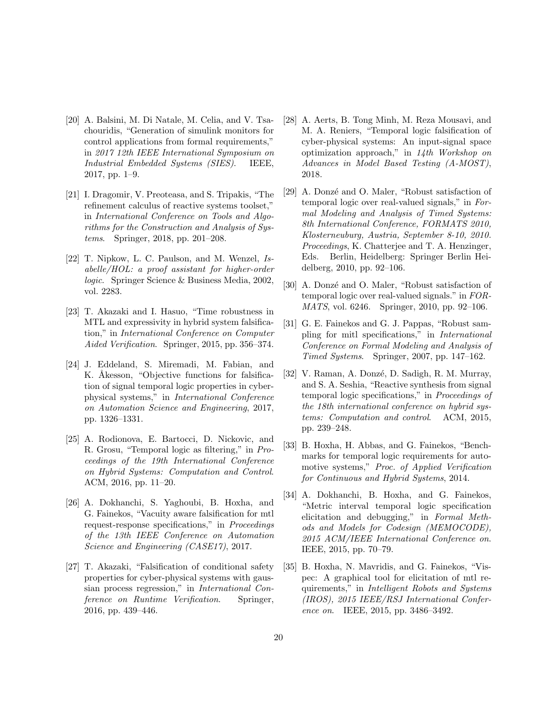- <span id="page-19-0"></span>[20] A. Balsini, M. Di Natale, M. Celia, and V. Tsachouridis, "Generation of simulink monitors for control applications from formal requirements," in 2017 12th IEEE International Symposium on Industrial Embedded Systems (SIES). IEEE, 2017, pp. 1–9.
- <span id="page-19-1"></span>[21] I. Dragomir, V. Preoteasa, and S. Tripakis, "The refinement calculus of reactive systems toolset," in International Conference on Tools and Algorithms for the Construction and Analysis of Systems. Springer, 2018, pp. 201–208.
- <span id="page-19-2"></span>[22] T. Nipkow, L. C. Paulson, and M. Wenzel, Isabelle/HOL: a proof assistant for higher-order logic. Springer Science & Business Media, 2002, vol. 2283.
- <span id="page-19-3"></span>[23] T. Akazaki and I. Hasuo, "Time robustness in MTL and expressivity in hybrid system falsification," in International Conference on Computer Aided Verification. Springer, 2015, pp. 356–374.
- <span id="page-19-4"></span>[24] J. Eddeland, S. Miremadi, M. Fabian, and K. Åkesson, "Objective functions for falsification of signal temporal logic properties in cyberphysical systems," in International Conference on Automation Science and Engineering, 2017, pp. 1326–1331.
- <span id="page-19-5"></span>[25] A. Rodionova, E. Bartocci, D. Nickovic, and R. Grosu, "Temporal logic as filtering," in Proceedings of the 19th International Conference on Hybrid Systems: Computation and Control. ACM, 2016, pp. 11–20.
- <span id="page-19-6"></span>[26] A. Dokhanchi, S. Yaghoubi, B. Hoxha, and G. Fainekos, "Vacuity aware falsification for mtl request-response specifications," in Proceedings of the 13th IEEE Conference on Automation Science and Engineering (CASE17), 2017.
- <span id="page-19-7"></span>[27] T. Akazaki, "Falsification of conditional safety properties for cyber-physical systems with gaussian process regression," in International Conference on Runtime Verification. Springer, 2016, pp. 439–446.
- <span id="page-19-8"></span>[28] A. Aerts, B. Tong Minh, M. Reza Mousavi, and M. A. Reniers, "Temporal logic falsification of cyber-physical systems: An input-signal space optimization approach," in 14th Workshop on Advances in Model Based Testing (A-MOST), 2018.
- <span id="page-19-9"></span>[29] A. Donzé and O. Maler, "Robust satisfaction of temporal logic over real-valued signals," in Formal Modeling and Analysis of Timed Systems: 8th International Conference, FORMATS 2010, Klosterneuburg, Austria, September 8-10, 2010. Proceedings, K. Chatterjee and T. A. Henzinger, Eds. Berlin, Heidelberg: Springer Berlin Heidelberg, 2010, pp. 92–106.
- <span id="page-19-10"></span>[30] A. Donzé and O. Maler, "Robust satisfaction of temporal logic over real-valued signals." in FOR-MATS, vol. 6246. Springer, 2010, pp. 92–106.
- <span id="page-19-11"></span>[31] G. E. Fainekos and G. J. Pappas, "Robust sampling for mitl specifications," in International Conference on Formal Modeling and Analysis of Timed Systems. Springer, 2007, pp. 147–162.
- <span id="page-19-12"></span>[32] V. Raman, A. Donzé, D. Sadigh, R. M. Murray, and S. A. Seshia, "Reactive synthesis from signal temporal logic specifications," in Proceedings of the 18th international conference on hybrid systems: Computation and control. ACM, 2015, pp. 239–248.
- <span id="page-19-13"></span>[33] B. Hoxha, H. Abbas, and G. Fainekos, "Benchmarks for temporal logic requirements for automotive systems," Proc. of Applied Verification for Continuous and Hybrid Systems, 2014.
- <span id="page-19-14"></span>[34] A. Dokhanchi, B. Hoxha, and G. Fainekos, "Metric interval temporal logic specification elicitation and debugging," in Formal Methods and Models for Codesign (MEMOCODE), 2015 ACM/IEEE International Conference on. IEEE, 2015, pp. 70–79.
- <span id="page-19-15"></span>[35] B. Hoxha, N. Mavridis, and G. Fainekos, "Vispec: A graphical tool for elicitation of mtl requirements," in Intelligent Robots and Systems (IROS), 2015 IEEE/RSJ International Conference on. IEEE, 2015, pp. 3486–3492.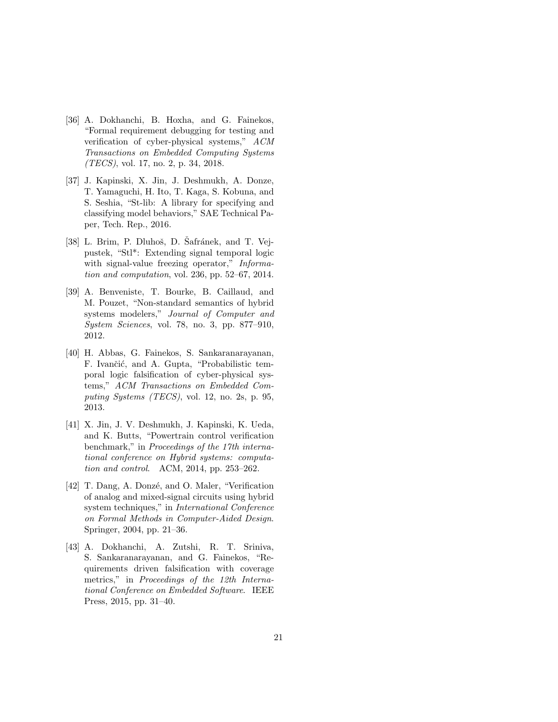- <span id="page-20-0"></span>[36] A. Dokhanchi, B. Hoxha, and G. Fainekos, "Formal requirement debugging for testing and verification of cyber-physical systems," ACM Transactions on Embedded Computing Systems (TECS), vol. 17, no. 2, p. 34, 2018.
- <span id="page-20-1"></span>[37] J. Kapinski, X. Jin, J. Deshmukh, A. Donze, T. Yamaguchi, H. Ito, T. Kaga, S. Kobuna, and S. Seshia, "St-lib: A library for specifying and classifying model behaviors," SAE Technical Paper, Tech. Rep., 2016.
- <span id="page-20-2"></span>[38] L. Brim, P. Dluhoš, D. Šafránek, and T. Vejpustek, "Stl\*: Extending signal temporal logic with signal-value freezing operator," Information and computation, vol. 236, pp. 52–67, 2014.
- <span id="page-20-3"></span>[39] A. Benveniste, T. Bourke, B. Caillaud, and M. Pouzet, "Non-standard semantics of hybrid systems modelers," Journal of Computer and System Sciences, vol. 78, no. 3, pp. 877–910, 2012.
- <span id="page-20-4"></span>[40] H. Abbas, G. Fainekos, S. Sankaranarayanan, F. Ivančić, and A. Gupta, "Probabilistic temporal logic falsification of cyber-physical systems," ACM Transactions on Embedded Computing Systems (TECS), vol. 12, no. 2s, p. 95, 2013.
- <span id="page-20-5"></span>[41] X. Jin, J. V. Deshmukh, J. Kapinski, K. Ueda, and K. Butts, "Powertrain control verification benchmark," in Proceedings of the 17th international conference on Hybrid systems: computation and control. ACM, 2014, pp. 253–262.
- <span id="page-20-6"></span>[42] T. Dang, A. Donzé, and O. Maler, "Verification of analog and mixed-signal circuits using hybrid system techniques," in International Conference on Formal Methods in Computer-Aided Design. Springer, 2004, pp. 21–36.
- <span id="page-20-7"></span>[43] A. Dokhanchi, A. Zutshi, R. T. Sriniva, S. Sankaranarayanan, and G. Fainekos, "Requirements driven falsification with coverage metrics," in Proceedings of the 12th International Conference on Embedded Software. IEEE Press, 2015, pp. 31–40.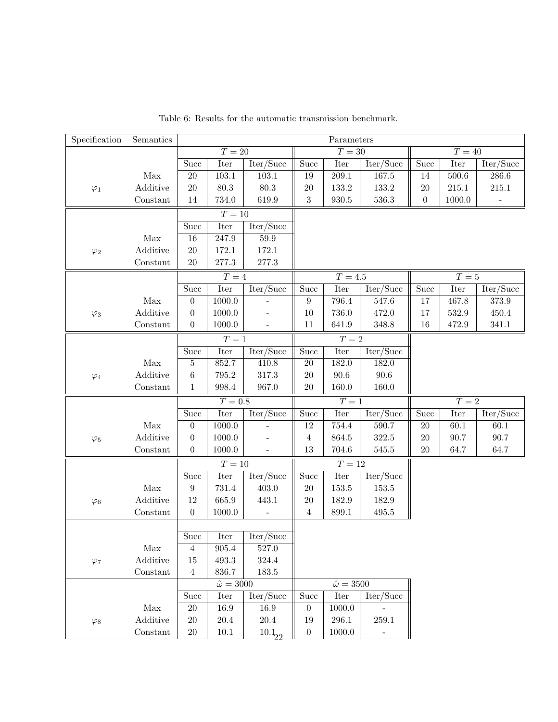<span id="page-21-0"></span>

| Specification | Semantics            | Parameters        |                            |                                       |                  |                         |                                      |                  |                     |                                      |  |  |
|---------------|----------------------|-------------------|----------------------------|---------------------------------------|------------------|-------------------------|--------------------------------------|------------------|---------------------|--------------------------------------|--|--|
|               |                      |                   | $T=20\,$                   |                                       |                  | $T = 30$                |                                      |                  | $\overline{T} = 40$ |                                      |  |  |
|               |                      | <b>Succ</b>       | $\ensuremath{\text{Iter}}$ | Iter/Succ                             | Succ             | Iter                    | $\overline{\text{Iter}/\text{Succ}}$ | <b>Succ</b>      | Iter                | Iter/Succ                            |  |  |
|               | Max                  | $20\,$            | 103.1                      | $103.1\,$                             | $19\,$           | $\hphantom{0,\!0}209.1$ | $167.5\,$                            | $14\,$           | $500.6\,$           | $286.6\,$                            |  |  |
| $\varphi_1$   | Additive             | 20                | 80.3                       | $80.3\,$                              | $20\,$           | 133.2                   | $133.2\,$                            | $20\,$           | 215.1               | $215.1\,$                            |  |  |
|               | Constant             | $14\,$            | 734.0                      | 619.9                                 | $\sqrt{3}$       | $\boldsymbol{930.5}$    | $536.3\,$                            | $\boldsymbol{0}$ | 1000.0              | $\qquad \qquad \blacksquare$         |  |  |
|               |                      |                   | $T=10\,$                   |                                       |                  |                         |                                      |                  |                     |                                      |  |  |
|               |                      | Succ              | Iter                       | $\overline{\text{Iter}/\text{Succ}}$  |                  |                         |                                      |                  |                     |                                      |  |  |
|               | Max                  | $16\,$            | $247.9\,$                  | $59.9\,$                              |                  |                         |                                      |                  |                     |                                      |  |  |
| $\varphi_2$   | Additive             | 20                | 172.1                      | 172.1                                 |                  |                         |                                      |                  |                     |                                      |  |  |
|               | Constant             | $20\,$            | $277.3\,$                  | $277.3\,$                             |                  |                         |                                      |                  |                     |                                      |  |  |
|               |                      |                   | $T=4$                      |                                       |                  | $T=4.5$                 |                                      |                  | $T=5$               |                                      |  |  |
|               |                      | $\overline{Succ}$ | Iter                       | Iter/Succ                             | Succ             | Iter                    | Iter/Succ                            | Succ             | Iter                | Iter/Succ                            |  |  |
|               | $\operatorname{Max}$ | $\boldsymbol{0}$  | 1000.0                     |                                       | $\boldsymbol{9}$ | 796.4                   | 547.6                                | 17               | 467.8               | $373.9\,$                            |  |  |
| $\varphi_3$   | Additive             | $\boldsymbol{0}$  | 1000.0                     |                                       | $10\,$           | 736.0                   | 472.0                                | 17               | 532.9               | 450.4                                |  |  |
|               | Constant             | $\boldsymbol{0}$  | 1000.0                     | $\overline{\phantom{a}}$              | $11\,$           | $641.9\,$               | 348.8                                | 16               | 472.9               | 341.1                                |  |  |
|               |                      |                   | $T=1$                      |                                       |                  | $T=2$                   |                                      |                  |                     |                                      |  |  |
|               |                      | <b>Succ</b>       | Iter                       | Iter/Succ                             | Succ             | Iter                    | Iter/Succ                            |                  |                     |                                      |  |  |
|               | Max                  | $\bf 5$           | 852.7                      | 410.8                                 | $20\,$           | 182.0                   | 182.0                                |                  |                     |                                      |  |  |
| $\varphi_4$   | Additive             | $\,6\,$           | 795.2                      | 317.3                                 | $20\,$           | $90.6\,$                | $90.6\,$                             |                  |                     |                                      |  |  |
|               | Constant             | $\mathbf{1}$      | 998.4                      | 967.0                                 | $20\,$           | 160.0                   | 160.0                                |                  |                     |                                      |  |  |
|               |                      |                   | $T=0.8\,$                  |                                       |                  | ${\cal T}=1$            |                                      |                  | ${\cal T}=2$        |                                      |  |  |
|               |                      | Succ              | Iter                       | $1 \overline{\text{ter}/\text{Succ}}$ | Succ             | Iter                    | $\overline{\text{Iter}/\text{Succ}}$ | Succ             | Iter                | $\overline{\text{Iter}/\text{Succ}}$ |  |  |
|               | Max                  | $\boldsymbol{0}$  | 1000.0                     |                                       | $12\,$           | $754.4\,$               | $590.7\,$                            | $20\,$           | $60.1\,$            | $60.1\,$                             |  |  |
| $\varphi_5$   | Additive             | $\boldsymbol{0}$  | 1000.0                     |                                       | $\overline{4}$   | $864.5\,$               | 322.5                                | $20\,$           | 90.7                | $90.7\,$                             |  |  |
|               | Constant             | $\boldsymbol{0}$  | 1000.0                     |                                       | $13\,$           | 704.6                   | $545.5\,$                            | $20\,$           | 64.7                | 64.7                                 |  |  |
|               |                      |                   | $T=10$                     |                                       |                  | $T=12\,$                |                                      |                  |                     |                                      |  |  |
|               |                      | Succ              | <b>Iter</b>                | Iter/Succ                             | Succ             | Iter                    | Iter/Succ                            |                  |                     |                                      |  |  |
|               | $\operatorname{Max}$ | $\boldsymbol{9}$  | 731.4                      | 403.0                                 | $20\,$           | $153.5\,$               | 153.5                                |                  |                     |                                      |  |  |
| $\varphi_6$   | Additive             | 12                | 665.9                      | 443.1                                 | $20\,$           | 182.9                   | $182.9\,$                            |                  |                     |                                      |  |  |
|               | Constant             | $\boldsymbol{0}$  | 1000.0                     | $\overline{a}$                        | $\overline{4}$   | $899.1\,$               | $\!95.5$                             |                  |                     |                                      |  |  |
|               |                      |                   |                            |                                       |                  |                         |                                      |                  |                     |                                      |  |  |
|               |                      | Succ              | Iter                       | Iter/Succ                             |                  |                         |                                      |                  |                     |                                      |  |  |
|               | $\operatorname{Max}$ | 4                 | $905.4\,$                  | $527.0\,$                             |                  |                         |                                      |                  |                     |                                      |  |  |
| $\varphi_7$   | Additive             | 15                | 493.3                      | 324.4                                 |                  |                         |                                      |                  |                     |                                      |  |  |
|               | Constant             | $\overline{4}$    | 836.7                      | $183.5\,$                             |                  |                         |                                      |                  |                     |                                      |  |  |
|               |                      |                   | $\hat{\omega} = 3000$      |                                       |                  | $\hat{\omega}=3500$     |                                      |                  |                     |                                      |  |  |
|               |                      | Succ              | Iter                       | Iter/Succ                             | Succ             | Iter                    | Iter/Succ                            |                  |                     |                                      |  |  |
|               | Max                  | $20\,$            | 16.9                       | 16.9                                  | $\boldsymbol{0}$ | 1000.0                  |                                      |                  |                     |                                      |  |  |
| $\varphi_8$   | Additive             | $20\,$            | $20.4\,$                   | $20.4\,$                              | 19               | $296.1\,$               | 259.1                                |                  |                     |                                      |  |  |
|               | Constant             | $20\,$            | $10.1\,$                   | $10.1_{22}$                           | $\boldsymbol{0}$ | 1000.0                  |                                      |                  |                     |                                      |  |  |

Table 6: Results for the automatic transmission benchmark.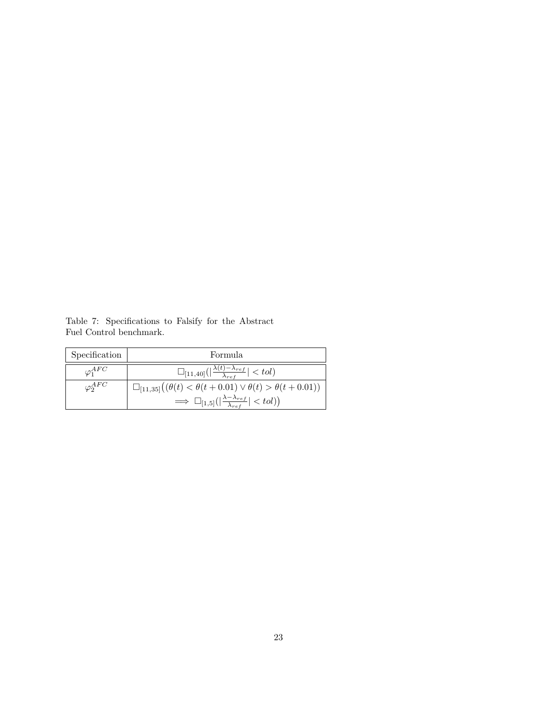| Specification     | Formula                                                                          |
|-------------------|----------------------------------------------------------------------------------|
| $\varphi_1^{AFC}$ | $\Box_{[11,40]}( \frac{\lambda(t)-\lambda_{ref}}{\lambda_{ref}}  < tol)$         |
| $\varphi_2^{AFC}$ | $\Box_{[11,35]}((\theta(t) < \theta(t+0.01) \vee \theta(t) > \theta(t+0.01)))$   |
|                   | $\Rightarrow \Box_{[1,5]}( \frac{\lambda-\lambda_{ref}}{\lambda_{ref}}  < tol) $ |

<span id="page-22-0"></span>Table 7: Specifications to Falsify for the Abstract Fuel Control benchmark.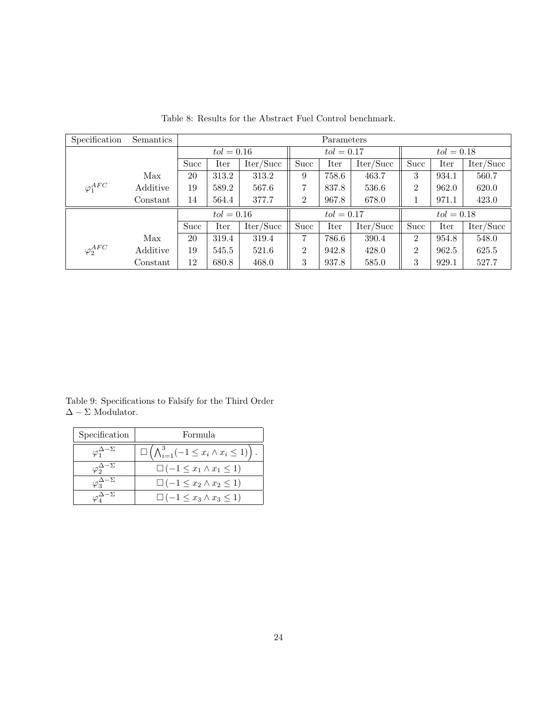<span id="page-23-0"></span>

| Specification     | Semantics |             | Parameters   |           |                |              |           |                |       |           |  |
|-------------------|-----------|-------------|--------------|-----------|----------------|--------------|-----------|----------------|-------|-----------|--|
|                   |           |             | $tol = 0.16$ |           |                | $tol = 0.17$ |           | $tol = 0.18$   |       |           |  |
|                   |           | <b>Succ</b> | Iter         | Iter/Succ | Succ           | Iter         | Iter/Succ | Succ           | Iter  | Iter/Succ |  |
|                   | Max       | 20          | 313.2        | 313.2     | 9              | 758.6        | 463.7     | 3              | 934.1 | 560.7     |  |
| $\varphi_1^{AFC}$ | Additive  | 19          | 589.2        | 567.6     | 7              | 837.8        | 536.6     | $\overline{2}$ | 962.0 | 620.0     |  |
|                   | Constant  | 14          | 564.4        | 377.7     | $\overline{2}$ | 967.8        | 678.0     |                | 971.1 | 423.0     |  |
|                   |           |             | $tol = 0.16$ |           | $tol = 0.17$   |              |           | $tol = 0.18$   |       |           |  |
|                   |           | <b>Succ</b> | Iter         | Iter/Succ | Succ           | Iter         | Iter/Succ | Succ           | Iter  | Iter/Succ |  |
|                   | Max       | 20          | 319.4        | 319.4     | 7              | 786.6        | 390.4     | $\overline{2}$ | 954.8 | 548.0     |  |
| $\varphi_2^{AFC}$ | Additive  | 19          | 545.5        | 521.6     | $\overline{2}$ | 942.8        | 428.0     | $\overline{2}$ | 962.5 | 625.5     |  |
|                   | Constant  | 12          | 680.8        | 468.0     | 3              | 937.8        | 585.0     | 3              | 929.1 | 527.7     |  |

Table 8: Results for the Abstract Fuel Control benchmark.

<span id="page-23-1"></span>Table 9: Specifications to Falsify for the Third Order  $\Delta-\Sigma$  Modulator.

| Specification                   | Formula                                                                  |
|---------------------------------|--------------------------------------------------------------------------|
| $\sqrt{\phi_1^{\Delta-\Sigma}}$ | $\Box \left( \bigwedge_{i=1}^3 (-1 \leq x_i \wedge x_i \leq 1) \right).$ |
|                                 | $\Box (-1 \leq x_1 \wedge x_1 \leq 1)$                                   |
| $\sigma_2^{\Delta-\Sigma}$      | $\Box (-1 \leq x_2 \wedge x_2 \leq 1)$                                   |
|                                 | $\Box (-1 \leq x_3 \wedge x_3 \leq 1)$                                   |